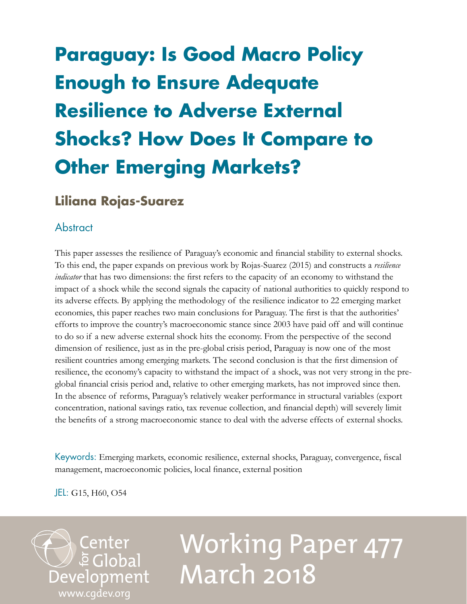## **Paraguay: Is Good Macro Policy Enough to Ensure Adequate Resilience to Adverse External Shocks? How Does It Compare to Other Emerging Markets?**

## **Liliana Rojas-Suarez**

## **Abstract**

This paper assesses the resilience of Paraguay's economic and financial stability to external shocks. To this end, the paper expands on previous work by Rojas-Suarez (2015) and constructs a *resilience indicator* that has two dimensions: the first refers to the capacity of an economy to withstand the impact of a shock while the second signals the capacity of national authorities to quickly respond to its adverse effects. By applying the methodology of the resilience indicator to 22 emerging market economies, this paper reaches two main conclusions for Paraguay. The first is that the authorities' efforts to improve the country's macroeconomic stance since 2003 have paid off and will continue to do so if a new adverse external shock hits the economy. From the perspective of the second dimension of resilience, just as in the pre-global crisis period, Paraguay is now one of the most resilient countries among emerging markets. The second conclusion is that the first dimension of resilience, the economy's capacity to withstand the impact of a shock, was not very strong in the preglobal financial crisis period and, relative to other emerging markets, has not improved since then. In the absence of reforms, Paraguay's relatively weaker performance in structural variables (export concentration, national savings ratio, tax revenue collection, and financial depth) will severely limit the benefits of a strong macroeconomic stance to deal with the adverse effects of external shocks.

Keywords: Emerging markets, economic resilience, external shocks, Paraguay, convergence, fiscal management, macroeconomic policies, local finance, external position

JEL: G15, H60, O54

[www.cgdev.org](http://www.cgdev.org)

Development

**Center**<br>Eclobal

# Working Paper 477 March 2018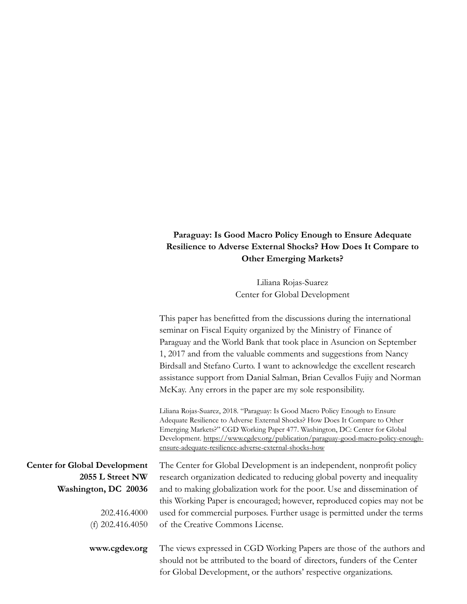## **Paraguay: Is Good Macro Policy Enough to Ensure Adequate Resilience to Adverse External Shocks? How Does It Compare to Other Emerging Markets?**

Liliana Rojas-Suarez Center for Global Development

|                                      | This paper has benefitted from the discussions during the international<br>seminar on Fiscal Equity organized by the Ministry of Finance of                                                                                                                                                                                                                                                |
|--------------------------------------|--------------------------------------------------------------------------------------------------------------------------------------------------------------------------------------------------------------------------------------------------------------------------------------------------------------------------------------------------------------------------------------------|
|                                      | Paraguay and the World Bank that took place in Asuncion on September                                                                                                                                                                                                                                                                                                                       |
|                                      | 1, 2017 and from the valuable comments and suggestions from Nancy                                                                                                                                                                                                                                                                                                                          |
|                                      | Birdsall and Stefano Curto. I want to acknowledge the excellent research                                                                                                                                                                                                                                                                                                                   |
|                                      | assistance support from Danial Salman, Brian Cevallos Fujiy and Norman                                                                                                                                                                                                                                                                                                                     |
|                                      | McKay. Any errors in the paper are my sole responsibility.                                                                                                                                                                                                                                                                                                                                 |
|                                      | Liliana Rojas-Suarez, 2018. "Paraguay: Is Good Macro Policy Enough to Ensure<br>Adequate Resilience to Adverse External Shocks? How Does It Compare to Other<br>Emerging Markets?" CGD Working Paper 477. Washington, DC: Center for Global<br>Development. https://www.cgdev.org/publication/paraguay-good-macro-policy-enough-<br>ensure-adequate-resilience-adverse-external-shocks-how |
| <b>Center for Global Development</b> | The Center for Global Development is an independent, nonprofit policy                                                                                                                                                                                                                                                                                                                      |
| 2055 L Street NW                     | research organization dedicated to reducing global poverty and inequality                                                                                                                                                                                                                                                                                                                  |
| Washington, DC 20036                 | and to making globalization work for the poor. Use and dissemination of                                                                                                                                                                                                                                                                                                                    |
|                                      | this Working Paper is encouraged; however, reproduced copies may not be                                                                                                                                                                                                                                                                                                                    |
| 202.416.4000                         | used for commercial purposes. Further usage is permitted under the terms                                                                                                                                                                                                                                                                                                                   |
| (f) $202.416.4050$                   | of the Creative Commons License.                                                                                                                                                                                                                                                                                                                                                           |
| www.cgdev.org                        | The views expressed in CGD Working Papers are those of the authors and<br>should not be attributed to the board of directors, funders of the Center<br>for Global Development, or the authors' respective organizations.                                                                                                                                                                   |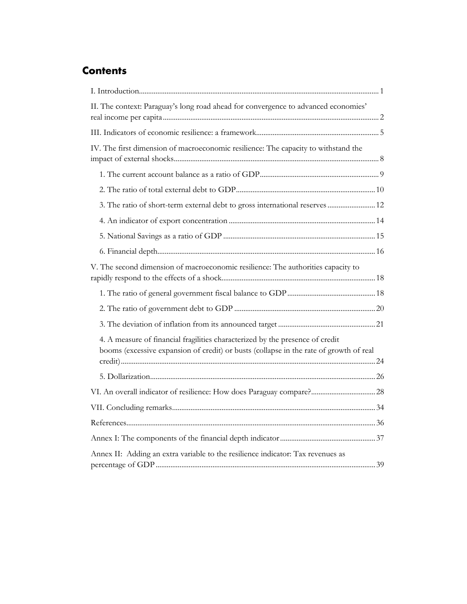## **Contents**

| II. The context: Paraguay's long road ahead for convergence to advanced economies'                                                                                      |
|-------------------------------------------------------------------------------------------------------------------------------------------------------------------------|
|                                                                                                                                                                         |
| IV. The first dimension of macroeconomic resilience: The capacity to withstand the                                                                                      |
|                                                                                                                                                                         |
|                                                                                                                                                                         |
| 3. The ratio of short-term external debt to gross international reserves  12                                                                                            |
|                                                                                                                                                                         |
|                                                                                                                                                                         |
|                                                                                                                                                                         |
| V. The second dimension of macroeconomic resilience: The authorities capacity to                                                                                        |
|                                                                                                                                                                         |
|                                                                                                                                                                         |
|                                                                                                                                                                         |
| 4. A measure of financial fragilities characterized by the presence of credit<br>booms (excessive expansion of credit) or busts (collapse in the rate of growth of real |
|                                                                                                                                                                         |
| VI. An overall indicator of resilience: How does Paraguay compare? 28                                                                                                   |
|                                                                                                                                                                         |
|                                                                                                                                                                         |
|                                                                                                                                                                         |
| Annex II: Adding an extra variable to the resilience indicator: Tax revenues as                                                                                         |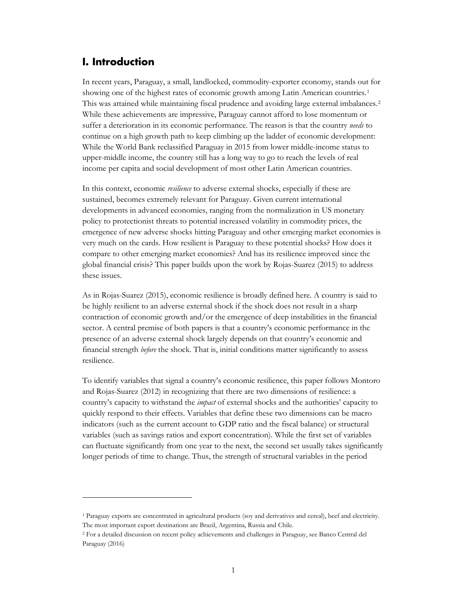## <span id="page-3-0"></span>**I. Introduction**

 $\overline{a}$ 

In recent years, Paraguay, a small, landlocked, commodity-exporter economy, stands out for showing one of the highest rates of economic growth among Latin American countries.<sup>[1](#page-3-1)</sup> This was attained while maintaining fiscal prudence and avoiding large external imbalances.[2](#page-3-2) While these achievements are impressive, Paraguay cannot afford to lose momentum or suffer a deterioration in its economic performance. The reason is that the country *needs* to continue on a high growth path to keep climbing up the ladder of economic development: While the World Bank reclassified Paraguay in 2015 from lower middle-income status to upper-middle income, the country still has a long way to go to reach the levels of real income per capita and social development of most other Latin American countries.

In this context, economic *resilience* to adverse external shocks, especially if these are sustained, becomes extremely relevant for Paraguay. Given current international developments in advanced economies, ranging from the normalization in US monetary policy to protectionist threats to potential increased volatility in commodity prices, the emergence of new adverse shocks hitting Paraguay and other emerging market economies is very much on the cards. How resilient is Paraguay to these potential shocks? How does it compare to other emerging market economies? And has its resilience improved since the global financial crisis? This paper builds upon the work by Rojas-Suarez (2015) to address these issues.

As in Rojas-Suarez (2015), economic resilience is broadly defined here. A country is said to be highly resilient to an adverse external shock if the shock does not result in a sharp contraction of economic growth and/or the emergence of deep instabilities in the financial sector. A central premise of both papers is that a country's economic performance in the presence of an adverse external shock largely depends on that country's economic and financial strength *before* the shock. That is, initial conditions matter significantly to assess resilience.

To identify variables that signal a country's economic resilience, this paper follows Montoro and Rojas-Suarez (2012) in recognizing that there are two dimensions of resilience: a country's capacity to withstand the *impact* of external shocks and the authorities' capacity to quickly respond to their effects. Variables that define these two dimensions can be macro indicators (such as the current account to GDP ratio and the fiscal balance) or structural variables (such as savings ratios and export concentration). While the first set of variables can fluctuate significantly from one year to the next, the second set usually takes significantly longer periods of time to change. Thus, the strength of structural variables in the period

<span id="page-3-1"></span><sup>1</sup> Paraguay exports are concentrated in agricultural products (soy and derivatives and cereal), beef and electricity. The most important export destinations are Brazil, Argentina, Russia and Chile.

<span id="page-3-2"></span><sup>2</sup> For a detailed discussion on recent policy achievements and challenges in Paraguay, see Banco Central del Paraguay (2016)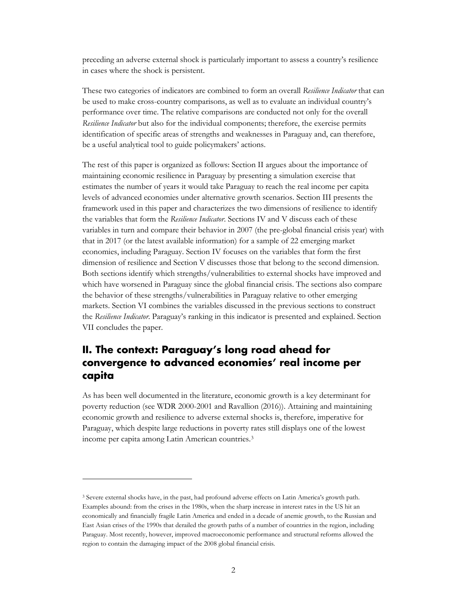preceding an adverse external shock is particularly important to assess a country's resilience in cases where the shock is persistent.

These two categories of indicators are combined to form an overall *Resilience Indicator* that can be used to make cross-country comparisons, as well as to evaluate an individual country's performance over time. The relative comparisons are conducted not only for the overall *Resilience Indicator* but also for the individual components; therefore, the exercise permits identification of specific areas of strengths and weaknesses in Paraguay and, can therefore, be a useful analytical tool to guide policymakers' actions.

The rest of this paper is organized as follows: Section II argues about the importance of maintaining economic resilience in Paraguay by presenting a simulation exercise that estimates the number of years it would take Paraguay to reach the real income per capita levels of advanced economies under alternative growth scenarios. Section III presents the framework used in this paper and characterizes the two dimensions of resilience to identify the variables that form the *Resilience Indicator*. Sections IV and V discuss each of these variables in turn and compare their behavior in 2007 (the pre-global financial crisis year) with that in 2017 (or the latest available information) for a sample of 22 emerging market economies, including Paraguay. Section IV focuses on the variables that form the first dimension of resilience and Section V discusses those that belong to the second dimension. Both sections identify which strengths/vulnerabilities to external shocks have improved and which have worsened in Paraguay since the global financial crisis. The sections also compare the behavior of these strengths/vulnerabilities in Paraguay relative to other emerging markets. Section VI combines the variables discussed in the previous sections to construct the *Resilience Indicator*. Paraguay's ranking in this indicator is presented and explained. Section VII concludes the paper.

## <span id="page-4-0"></span>**II. The context: Paraguay's long road ahead for convergence to advanced economies' real income per capita**

As has been well documented in the literature, economic growth is a key determinant for poverty reduction (see WDR 2000-2001 and Ravallion (2016)). Attaining and maintaining economic growth and resilience to adverse external shocks is, therefore, imperative for Paraguay, which despite large reductions in poverty rates still displays one of the lowest income per capita among Latin American countries.[3](#page-4-1)

<span id="page-4-1"></span><sup>3</sup> Severe external shocks have, in the past, had profound adverse effects on Latin America's growth path. Examples abound: from the crises in the 1980s, when the sharp increase in interest rates in the US hit an economically and financially fragile Latin America and ended in a decade of anemic growth, to the Russian and East Asian crises of the 1990s that derailed the growth paths of a number of countries in the region, including Paraguay. Most recently, however, improved macroeconomic performance and structural reforms allowed the region to contain the damaging impact of the 2008 global financial crisis.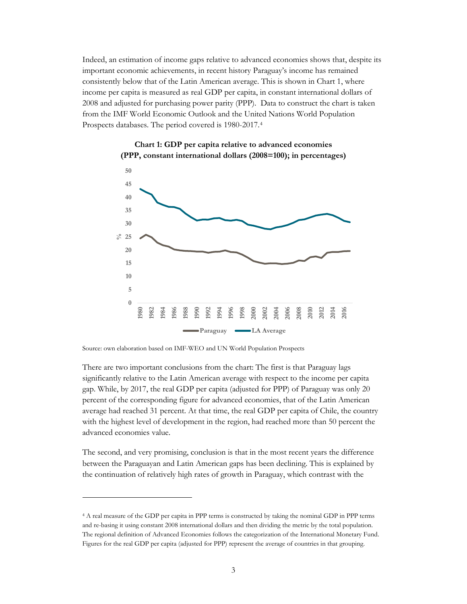Indeed, an estimation of income gaps relative to advanced economies shows that, despite its important economic achievements, in recent history Paraguay's income has remained consistently below that of the Latin American average. This is shown in Chart 1, where income per capita is measured as real GDP per capita, in constant international dollars of 2008 and adjusted for purchasing power parity (PPP). Data to construct the chart is taken from the IMF World Economic Outlook and the United Nations World Population Prospects databases. The period covered is 1980-2017.[4](#page-5-0)





Source: own elaboration based on IMF-WEO and UN World Population Prospects

 $\overline{a}$ 

There are two important conclusions from the chart: The first is that Paraguay lags significantly relative to the Latin American average with respect to the income per capita gap. While, by 2017, the real GDP per capita (adjusted for PPP) of Paraguay was only 20 percent of the corresponding figure for advanced economies, that of the Latin American average had reached 31 percent. At that time, the real GDP per capita of Chile, the country with the highest level of development in the region, had reached more than 50 percent the advanced economies value.

The second, and very promising, conclusion is that in the most recent years the difference between the Paraguayan and Latin American gaps has been declining. This is explained by the continuation of relatively high rates of growth in Paraguay, which contrast with the

<span id="page-5-0"></span><sup>4</sup> A real measure of the GDP per capita in PPP terms is constructed by taking the nominal GDP in PPP terms and re-basing it using constant 2008 international dollars and then dividing the metric by the total population. The regional definition of Advanced Economies follows the categorization of the International Monetary Fund. Figures for the real GDP per capita (adjusted for PPP) represent the average of countries in that grouping.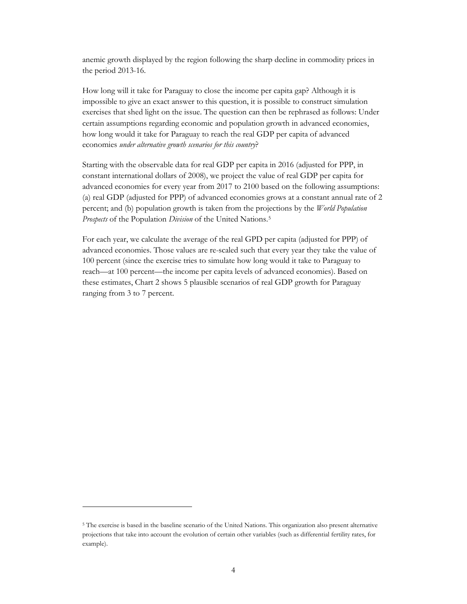anemic growth displayed by the region following the sharp decline in commodity prices in the period 2013-16.

How long will it take for Paraguay to close the income per capita gap? Although it is impossible to give an exact answer to this question, it is possible to construct simulation exercises that shed light on the issue. The question can then be rephrased as follows: Under certain assumptions regarding economic and population growth in advanced economies, how long would it take for Paraguay to reach the real GDP per capita of advanced economies *under alternative growth scenarios for this country*?

Starting with the observable data for real GDP per capita in 2016 (adjusted for PPP, in constant international dollars of 2008), we project the value of real GDP per capita for advanced economies for every year from 2017 to 2100 based on the following assumptions: (a) real GDP (adjusted for PPP) of advanced economies grows at a constant annual rate of 2 percent; and (b) population growth is taken from the projections by the *World Population Prospects* of the Population *Division* of the United Nations.[5](#page-6-0)

For each year, we calculate the average of the real GPD per capita (adjusted for PPP) of advanced economies. Those values are re-scaled such that every year they take the value of 100 percent (since the exercise tries to simulate how long would it take to Paraguay to reach—at 100 percent—the income per capita levels of advanced economies). Based on these estimates, Chart 2 shows 5 plausible scenarios of real GDP growth for Paraguay ranging from 3 to 7 percent.

<span id="page-6-0"></span><sup>5</sup> The exercise is based in the baseline scenario of the United Nations. This organization also present alternative projections that take into account the evolution of certain other variables (such as differential fertility rates, for example).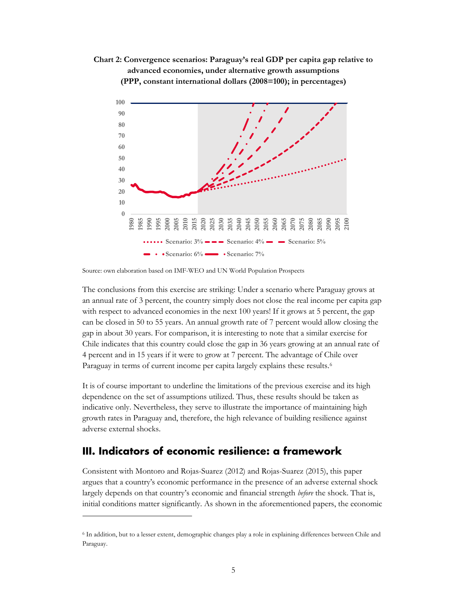**Chart 2: Convergence scenarios: Paraguay's real GDP per capita gap relative to advanced economies, under alternative growth assumptions (PPP, constant international dollars (2008=100); in percentages)**



Source: own elaboration based on IMF-WEO and UN World Population Prospects

The conclusions from this exercise are striking: Under a scenario where Paraguay grows at an annual rate of 3 percent, the country simply does not close the real income per capita gap with respect to advanced economies in the next 100 years! If it grows at 5 percent, the gap can be closed in 50 to 55 years. An annual growth rate of 7 percent would allow closing the gap in about 30 years. For comparison, it is interesting to note that a similar exercise for Chile indicates that this country could close the gap in 36 years growing at an annual rate of 4 percent and in 15 years if it were to grow at 7 percent. The advantage of Chile over Paraguay in terms of current income per capita largely explains these results.<sup>6</sup>

It is of course important to underline the limitations of the previous exercise and its high dependence on the set of assumptions utilized. Thus, these results should be taken as indicative only. Nevertheless, they serve to illustrate the importance of maintaining high growth rates in Paraguay and, therefore, the high relevance of building resilience against adverse external shocks.

#### <span id="page-7-0"></span>**III. Indicators of economic resilience: a framework**

 $\overline{a}$ 

Consistent with Montoro and Rojas-Suarez (2012) and Rojas-Suarez (2015), this paper argues that a country's economic performance in the presence of an adverse external shock largely depends on that country's economic and financial strength *before* the shock. That is, initial conditions matter significantly. As shown in the aforementioned papers, the economic

<span id="page-7-1"></span><sup>6</sup> In addition, but to a lesser extent, demographic changes play a role in explaining differences between Chile and Paraguay.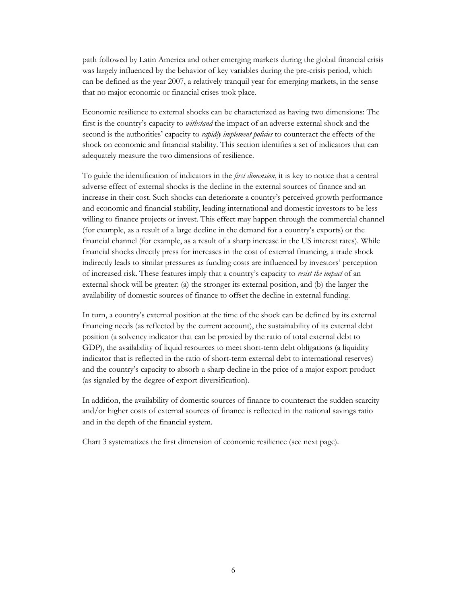path followed by Latin America and other emerging markets during the global financial crisis was largely influenced by the behavior of key variables during the pre-crisis period, which can be defined as the year 2007, a relatively tranquil year for emerging markets, in the sense that no major economic or financial crises took place.

Economic resilience to external shocks can be characterized as having two dimensions: The first is the country's capacity to *withstand* the impact of an adverse external shock and the second is the authorities' capacity to *rapidly implement policies* to counteract the effects of the shock on economic and financial stability. This section identifies a set of indicators that can adequately measure the two dimensions of resilience.

To guide the identification of indicators in the *first dimension*, it is key to notice that a central adverse effect of external shocks is the decline in the external sources of finance and an increase in their cost. Such shocks can deteriorate a country's perceived growth performance and economic and financial stability, leading international and domestic investors to be less willing to finance projects or invest. This effect may happen through the commercial channel (for example, as a result of a large decline in the demand for a country's exports) or the financial channel (for example, as a result of a sharp increase in the US interest rates). While financial shocks directly press for increases in the cost of external financing, a trade shock indirectly leads to similar pressures as funding costs are influenced by investors' perception of increased risk. These features imply that a country's capacity to *resist the impact* of an external shock will be greater: (a) the stronger its external position, and (b) the larger the availability of domestic sources of finance to offset the decline in external funding.

In turn, a country's external position at the time of the shock can be defined by its external financing needs (as reflected by the current account), the sustainability of its external debt position (a solvency indicator that can be proxied by the ratio of total external debt to GDP), the availability of liquid resources to meet short-term debt obligations (a liquidity indicator that is reflected in the ratio of short-term external debt to international reserves) and the country's capacity to absorb a sharp decline in the price of a major export product (as signaled by the degree of export diversification).

In addition, the availability of domestic sources of finance to counteract the sudden scarcity and/or higher costs of external sources of finance is reflected in the national savings ratio and in the depth of the financial system.

Chart 3 systematizes the first dimension of economic resilience (see next page).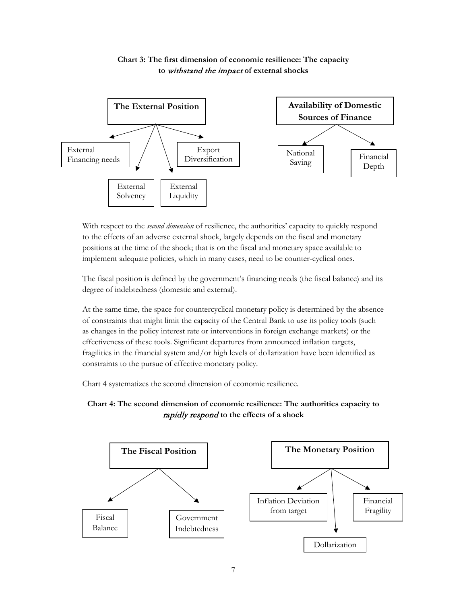

#### **Chart 3: The first dimension of economic resilience: The capacity to** withstand the impact **of external shocks**

With respect to the *second dimension* of resilience, the authorities' capacity to quickly respond to the effects of an adverse external shock, largely depends on the fiscal and monetary positions at the time of the shock; that is on the fiscal and monetary space available to implement adequate policies, which in many cases, need to be counter-cyclical ones.

The fiscal position is defined by the government's financing needs (the fiscal balance) and its degree of indebtedness (domestic and external).

At the same time, the space for countercyclical monetary policy is determined by the absence of constraints that might limit the capacity of the Central Bank to use its policy tools (such as changes in the policy interest rate or interventions in foreign exchange markets) or the effectiveness of these tools. Significant departures from announced inflation targets, fragilities in the financial system and/or high levels of dollarization have been identified as constraints to the pursue of effective monetary policy.

Chart 4 systematizes the second dimension of economic resilience.



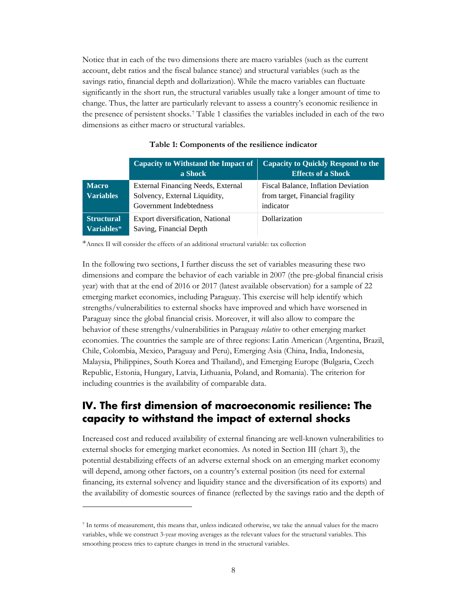Notice that in each of the two dimensions there are macro variables (such as the current account, debt ratios and the fiscal balance stance) and structural variables (such as the savings ratio, financial depth and dollarization). While the macro variables can fluctuate significantly in the short run, the structural variables usually take a longer amount of time to change. Thus, the latter are particularly relevant to assess a country's economic resilience in the presence of persistent shocks.[7](#page-10-1) Table 1 classifies the variables included in each of the two dimensions as either macro or structural variables.

|                                                        | Capacity to Withstand the Impact of<br>a Shock                                                 | <b>Capacity to Quickly Respond to the</b><br><b>Effects of a Shock</b>                      |
|--------------------------------------------------------|------------------------------------------------------------------------------------------------|---------------------------------------------------------------------------------------------|
| Macro<br><b>Variables</b>                              | External Financing Needs, External<br>Solvency, External Liquidity,<br>Government Indebtedness | <b>Fiscal Balance, Inflation Deviation</b><br>from target, Financial fragility<br>indicator |
| <b>Structural</b><br>$\overline{\mathbf{Variables}}^*$ | Export diversification, National<br>Saving, Financial Depth                                    | Dollarization                                                                               |

#### **Table 1: Components of the resilience indicator**

\*Annex II will consider the effects of an additional structural variable: tax collection

In the following two sections, I further discuss the set of variables measuring these two dimensions and compare the behavior of each variable in 2007 (the pre-global financial crisis year) with that at the end of 2016 or 2017 (latest available observation) for a sample of 22 emerging market economies, including Paraguay. This exercise will help identify which strengths/vulnerabilities to external shocks have improved and which have worsened in Paraguay since the global financial crisis. Moreover, it will also allow to compare the behavior of these strengths/vulnerabilities in Paraguay *relative* to other emerging market economies. The countries the sample are of three regions: Latin American (Argentina, Brazil, Chile, Colombia, Mexico, Paraguay and Peru), Emerging Asia (China, India, Indonesia, Malaysia, Philippines, South Korea and Thailand), and Emerging Europe (Bulgaria, Czech Republic, Estonia, Hungary, Latvia, Lithuania, Poland, and Romania). The criterion for including countries is the availability of comparable data.

## <span id="page-10-0"></span>**IV. The first dimension of macroeconomic resilience: The capacity to withstand the impact of external shocks**

Increased cost and reduced availability of external financing are well-known vulnerabilities to external shocks for emerging market economies. As noted in Section III (chart 3), the potential destabilizing effects of an adverse external shock on an emerging market economy will depend, among other factors, on a country's external position (its need for external financing, its external solvency and liquidity stance and the diversification of its exports) and the availability of domestic sources of finance (reflected by the savings ratio and the depth of

<span id="page-10-1"></span><sup>7</sup> In terms of measurement, this means that, unless indicated otherwise, we take the annual values for the macro variables, while we construct 3-year moving averages as the relevant values for the structural variables. This smoothing process tries to capture changes in trend in the structural variables.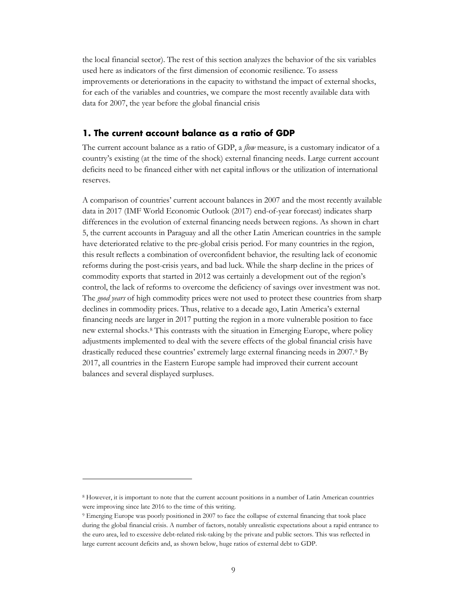the local financial sector). The rest of this section analyzes the behavior of the six variables used here as indicators of the first dimension of economic resilience. To assess improvements or deteriorations in the capacity to withstand the impact of external shocks, for each of the variables and countries, we compare the most recently available data with data for 2007, the year before the global financial crisis

#### <span id="page-11-0"></span>**1. The current account balance as a ratio of GDP**

The current account balance as a ratio of GDP, a *flow* measure, is a customary indicator of a country's existing (at the time of the shock) external financing needs. Large current account deficits need to be financed either with net capital inflows or the utilization of international reserves.

A comparison of countries' current account balances in 2007 and the most recently available data in 2017 (IMF World Economic Outlook (2017) end-of-year forecast) indicates sharp differences in the evolution of external financing needs between regions. As shown in chart 5, the current accounts in Paraguay and all the other Latin American countries in the sample have deteriorated relative to the pre-global crisis period. For many countries in the region, this result reflects a combination of overconfident behavior, the resulting lack of economic reforms during the post-crisis years, and bad luck. While the sharp decline in the prices of commodity exports that started in 2012 was certainly a development out of the region's control, the lack of reforms to overcome the deficiency of savings over investment was not. The *good years* of high commodity prices were not used to protect these countries from sharp declines in commodity prices. Thus, relative to a decade ago, Latin America's external financing needs are larger in 2017 putting the region in a more vulnerable position to face new external shocks.[8](#page-11-1) This contrasts with the situation in Emerging Europe, where policy adjustments implemented to deal with the severe effects of the global financial crisis have drastically reduced these countries' extremely large external financing needs in 2007[.9](#page-11-2) By 2017, all countries in the Eastern Europe sample had improved their current account balances and several displayed surpluses.

<span id="page-11-1"></span><sup>8</sup> However, it is important to note that the current account positions in a number of Latin American countries were improving since late 2016 to the time of this writing.

<span id="page-11-2"></span><sup>9</sup> Emerging Europe was poorly positioned in 2007 to face the collapse of external financing that took place during the global financial crisis. A number of factors, notably unrealistic expectations about a rapid entrance to the euro area, led to excessive debt-related risk-taking by the private and public sectors. This was reflected in large current account deficits and, as shown below, huge ratios of external debt to GDP.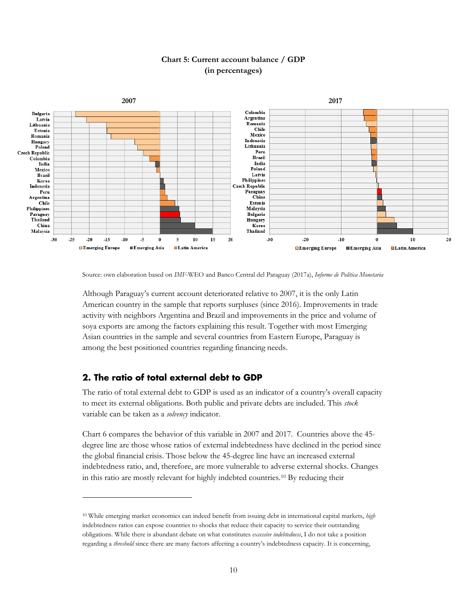

#### **Chart 5: Current account balance / GDP (in percentages)**

Source: own elaboration based on *IMF*-WEO and Banco Central del Paraguay (2017a), *Informe de Política Monetaria*

Although Paraguay's current account deteriorated relative to 2007, it is the only Latin American country in the sample that reports surpluses (since 2016). Improvements in trade activity with neighbors Argentina and Brazil and improvements in the price and volume of soya exports are among the factors explaining this result. Together with most Emerging Asian countries in the sample and several countries from Eastern Europe, Paraguay is among the best positioned countries regarding financing needs.

#### <span id="page-12-0"></span>**2. The ratio of total external debt to GDP**

 $\overline{a}$ 

The ratio of total external debt to GDP is used as an indicator of a country's overall capacity to meet its external obligations. Both public and private debts are included. This *stock*  variable can be taken as a *solvency* indicator.

Chart 6 compares the behavior of this variable in 2007 and 2017. Countries above the 45 degree line are those whose ratios of external indebtedness have declined in the period since the global financial crisis. Those below the 45-degree line have an increased external indebtedness ratio, and, therefore, are more vulnerable to adverse external shocks. Changes in this ratio are mostly relevant for highly indebted countries[.10](#page-12-1) By reducing their

<span id="page-12-1"></span><sup>10</sup> While emerging market economies can indeed benefit from issuing debt in international capital markets, *high*  indebtedness ratios can expose countries to shocks that reduce their capacity to service their outstanding obligations. While there is abundant debate on what constitutes *excessive indebtedness*, I do not take a position regarding a *threshold* since there are many factors affecting a country's indebtedness capacity. It is concerning,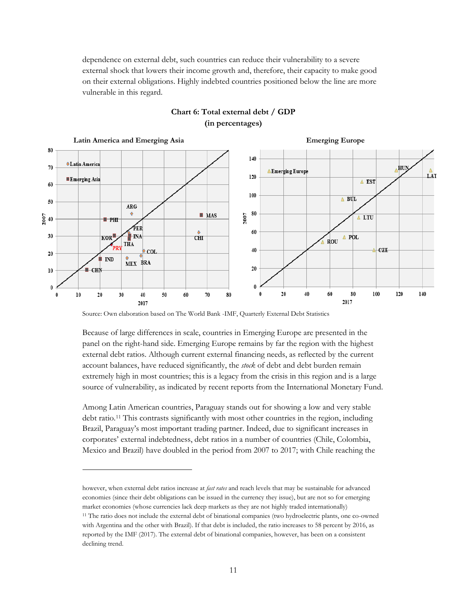dependence on external debt, such countries can reduce their vulnerability to a severe external shock that lowers their income growth and, therefore, their capacity to make good on their external obligations. Highly indebted countries positioned below the line are more vulnerable in this regard.



#### **Chart 6: Total external debt / GDP (in percentages)**

Source: Own elaboration based on The World Bank -IMF, Quarterly External Debt Statistics

 $\overline{a}$ 

Because of large differences in scale, countries in Emerging Europe are presented in the panel on the right-hand side. Emerging Europe remains by far the region with the highest external debt ratios. Although current external financing needs, as reflected by the current account balances, have reduced significantly, the *stock* of debt and debt burden remain extremely high in most countries; this is a legacy from the crisis in this region and is a large source of vulnerability, as indicated by recent reports from the International Monetary Fund.

Among Latin American countries, Paraguay stands out for showing a low and very stable debt ratio.<sup>[11](#page-13-0)</sup> This contrasts significantly with most other countries in the region, including Brazil, Paraguay's most important trading partner. Indeed, due to significant increases in corporates' external indebtedness, debt ratios in a number of countries (Chile, Colombia, Mexico and Brazil) have doubled in the period from 2007 to 2017; with Chile reaching the

<span id="page-13-0"></span>however, when external debt ratios increase at *fast rates* and reach levels that may be sustainable for advanced economies (since their debt obligations can be issued in the currency they issue), but are not so for emerging market economies (whose currencies lack deep markets as they are not highly traded internationally) <sup>11</sup> The ratio does not include the external debt of binational companies (two hydroelectric plants, one co-owned with Argentina and the other with Brazil). If that debt is included, the ratio increases to 58 percent by 2016, as reported by the IMF (2017). The external debt of binational companies, however, has been on a consistent declining trend.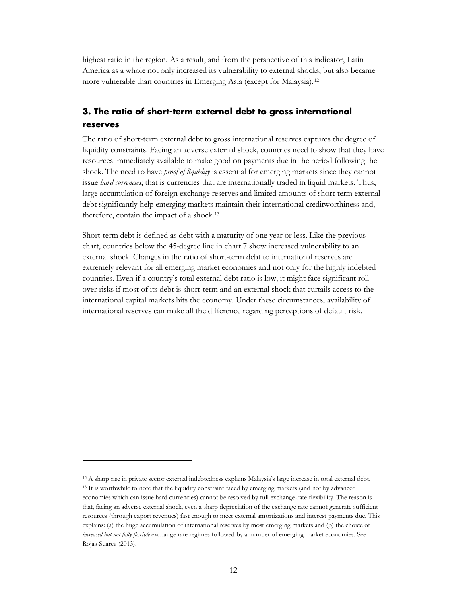highest ratio in the region. As a result, and from the perspective of this indicator, Latin America as a whole not only increased its vulnerability to external shocks, but also became more vulnerable than countries in Emerging Asia (except for Malaysia).[12](#page-14-1)

#### <span id="page-14-0"></span>**3. The ratio of short-term external debt to gross international reserves**

The ratio of short-term external debt to gross international reserves captures the degree of liquidity constraints. Facing an adverse external shock, countries need to show that they have resources immediately available to make good on payments due in the period following the shock. The need to have *proof of liquidity* is essential for emerging markets since they cannot issue *hard currencies*; that is currencies that are internationally traded in liquid markets. Thus, large accumulation of foreign exchange reserves and limited amounts of short-term external debt significantly help emerging markets maintain their international creditworthiness and, therefore, contain the impact of a shock.[13](#page-14-2)

Short-term debt is defined as debt with a maturity of one year or less. Like the previous chart, countries below the 45-degree line in chart 7 show increased vulnerability to an external shock. Changes in the ratio of short-term debt to international reserves are extremely relevant for all emerging market economies and not only for the highly indebted countries. Even if a country's total external debt ratio is low, it might face significant rollover risks if most of its debt is short-term and an external shock that curtails access to the international capital markets hits the economy. Under these circumstances, availability of international reserves can make all the difference regarding perceptions of default risk.

<span id="page-14-2"></span><span id="page-14-1"></span><sup>12</sup> A sharp rise in private sector external indebtedness explains Malaysia's large increase in total external debt. <sup>13</sup> It is worthwhile to note that the liquidity constraint faced by emerging markets (and not by advanced economies which can issue hard currencies) cannot be resolved by full exchange-rate flexibility. The reason is that, facing an adverse external shock, even a sharp depreciation of the exchange rate cannot generate sufficient resources (through export revenues) fast enough to meet external amortizations and interest payments due. This explains: (a) the huge accumulation of international reserves by most emerging markets and (b) the choice of *increased but not fully flexible* exchange rate regimes followed by a number of emerging market economies. See Rojas-Suarez (2013).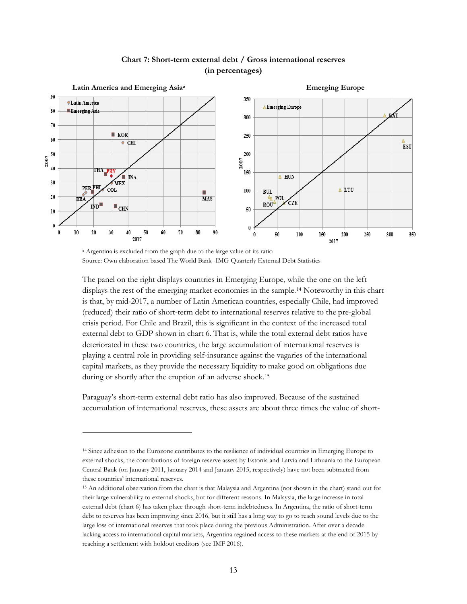

#### **Chart 7: Short-term external debt / Gross international reserves (in percentages)**

<sup>a</sup> Argentina is excluded from the graph due to the large value of its ratio Source: Own elaboration based The World Bank -IMG Quarterly External Debt Statistics

 $\overline{a}$ 

The panel on the right displays countries in Emerging Europe, while the one on the left displays the rest of the emerging market economies in the sample.[14](#page-15-0) Noteworthy in this chart is that, by mid-2017, a number of Latin American countries, especially Chile, had improved (reduced) their ratio of short-term debt to international reserves relative to the pre-global crisis period. For Chile and Brazil, this is significant in the context of the increased total external debt to GDP shown in chart 6. That is, while the total external debt ratios have deteriorated in these two countries, the large accumulation of international reserves is playing a central role in providing self-insurance against the vagaries of the international capital markets, as they provide the necessary liquidity to make good on obligations due during or shortly after the eruption of an adverse shock.[15](#page-15-1)

Paraguay's short-term external debt ratio has also improved. Because of the sustained accumulation of international reserves, these assets are about three times the value of short-

<span id="page-15-0"></span><sup>14</sup> Since adhesion to the Eurozone contributes to the resilience of individual countries in Emerging Europe to external shocks, the contributions of foreign reserve assets by Estonia and Latvia and Lithuania to the European Central Bank (on January 2011, January 2014 and January 2015, respectively) have not been subtracted from these countries' international reserves.

<span id="page-15-1"></span><sup>15</sup> An additional observation from the chart is that Malaysia and Argentina (not shown in the chart) stand out for their large vulnerability to external shocks, but for different reasons. In Malaysia, the large increase in total external debt (chart 6) has taken place through short-term indebtedness. In Argentina, the ratio of short-term debt to reserves has been improving since 2016, but it still has a long way to go to reach sound levels due to the large loss of international reserves that took place during the previous Administration. After over a decade lacking access to international capital markets, Argentina regained access to these markets at the end of 2015 by reaching a settlement with holdout creditors (see IMF 2016).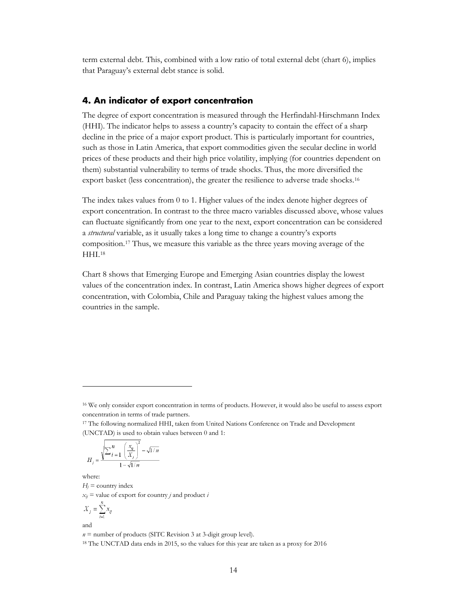term external debt. This, combined with a low ratio of total external debt (chart 6), implies that Paraguay's external debt stance is solid.

#### <span id="page-16-0"></span>**4. An indicator of export concentration**

The degree of export concentration is measured through the Herfindahl-Hirschmann Index (HHI). The indicator helps to assess a country's capacity to contain the effect of a sharp decline in the price of a major export product. This is particularly important for countries, such as those in Latin America, that export commodities given the secular decline in world prices of these products and their high price volatility, implying (for countries dependent on them) substantial vulnerability to terms of trade shocks. Thus, the more diversified the export basket (less concentration), the greater the resilience to adverse trade shocks.[16](#page-16-1)

The index takes values from 0 to 1. Higher values of the index denote higher degrees of export concentration. In contrast to the three macro variables discussed above, whose values can fluctuate significantly from one year to the next, export concentration can be considered a *structural* variable, as it usually takes a long time to change a country's exports composition.[17](#page-16-2) Thus, we measure this variable as the three years moving average of the HHI<sup>[18](#page-16-3)</sup>

Chart 8 shows that Emerging Europe and Emerging Asian countries display the lowest values of the concentration index. In contrast, Latin America shows higher degrees of export concentration, with Colombia, Chile and Paraguay taking the highest values among the countries in the sample.

$$
H_j = \frac{\sqrt{\sum_{i=1}^n \left(\frac{x_{ij}}{X_j}\right)^2 - \sqrt{1/n}}}{1 - \sqrt{1/n}}
$$

where:

 $\overline{a}$ 

 $H_i$  = country index  $x_{ij}$  = value of export for country *j* and product *i* 

$$
X_j = \sum_{i=1}^n x_{ij}
$$

and

 $n =$  number of products (SITC Revision 3 at 3-digit group level).

<span id="page-16-3"></span><sup>18</sup> The UNCTAD data ends in 2015, so the values for this year are taken as a proxy for 2016

<span id="page-16-1"></span><sup>16</sup> We only consider export concentration in terms of products. However, it would also be useful to assess export concentration in terms of trade partners.

<span id="page-16-2"></span><sup>17</sup> The following normalized HHI, taken from United Nations Conference on Trade and Development (UNCTAD) is used to obtain values between 0 and 1: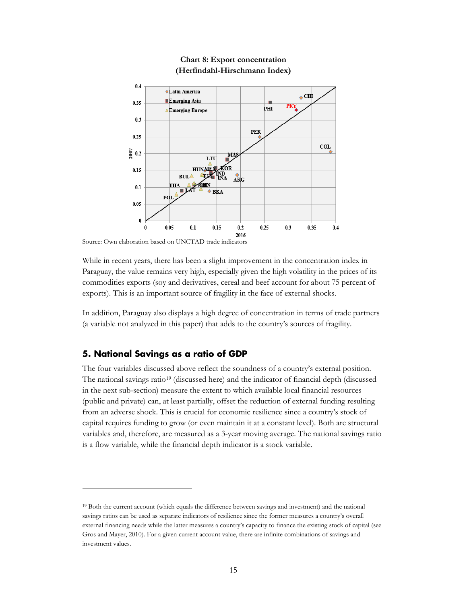

#### **Chart 8: Export concentration (Herfindahl-Hirschmann Index)**

Source: Own elaboration based on UNCTAD trade indicators

While in recent years, there has been a slight improvement in the concentration index in Paraguay, the value remains very high, especially given the high volatility in the prices of its commodities exports (soy and derivatives, cereal and beef account for about 75 percent of exports). This is an important source of fragility in the face of external shocks.

In addition, Paraguay also displays a high degree of concentration in terms of trade partners (a variable not analyzed in this paper) that adds to the country's sources of fragility.

#### <span id="page-17-0"></span>**5. National Savings as a ratio of GDP**

 $\overline{a}$ 

The four variables discussed above reflect the soundness of a country's external position. The national savings ratio[19](#page-17-1) (discussed here) and the indicator of financial depth (discussed in the next sub-section) measure the extent to which available local financial resources (public and private) can, at least partially, offset the reduction of external funding resulting from an adverse shock. This is crucial for economic resilience since a country's stock of capital requires funding to grow (or even maintain it at a constant level). Both are structural variables and, therefore, are measured as a 3-year moving average. The national savings ratio is a flow variable, while the financial depth indicator is a stock variable.

<span id="page-17-1"></span><sup>19</sup> Both the current account (which equals the difference between savings and investment) and the national savings ratios can be used as separate indicators of resilience since the former measures a country's overall external financing needs while the latter measures a country's capacity to finance the existing stock of capital (see Gros and Mayer, 2010). For a given current account value, there are infinite combinations of savings and investment values.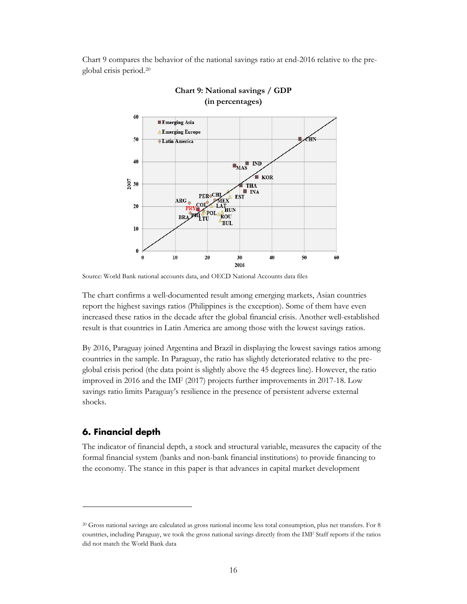Chart 9 compares the behavior of the national savings ratio at end-2016 relative to the preglobal crisis period.[20](#page-18-1)





The chart confirms a well-documented result among emerging markets, Asian countries report the highest savings ratios (Philippines is the exception). Some of them have even increased these ratios in the decade after the global financial crisis. Another well-established result is that countries in Latin America are among those with the lowest savings ratios.

By 2016, Paraguay joined Argentina and Brazil in displaying the lowest savings ratios among countries in the sample. In Paraguay, the ratio has slightly deteriorated relative to the preglobal crisis period (the data point is slightly above the 45 degrees line). However, the ratio improved in 2016 and the IMF (2017) projects further improvements in 2017-18. Low savings ratio limits Paraguay's resilience in the presence of persistent adverse external shocks.

#### <span id="page-18-0"></span>**6. Financial depth**

 $\overline{a}$ 

The indicator of financial depth, a stock and structural variable, measures the capacity of the formal financial system (banks and non-bank financial institutions) to provide financing to the economy. The stance in this paper is that advances in capital market development

Source: World Bank national accounts data, and OECD National Accounts data files

<span id="page-18-1"></span><sup>20</sup> Gross national savings are calculated as gross national income less total consumption, plus net transfers. For 8 countries, including Paraguay, we took the gross national savings directly from the IMF Staff reports if the ratios did not match the World Bank data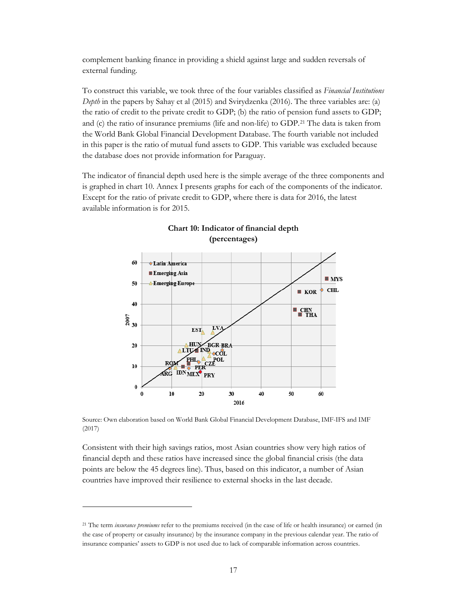complement banking finance in providing a shield against large and sudden reversals of external funding.

To construct this variable, we took three of the four variables classified as *Financial Institutions Depth* in the papers by Sahay et al (2015) and Svirydzenka (2016). The three variables are: (a) the ratio of credit to the private credit to GDP; (b) the ratio of pension fund assets to GDP; and (c) the ratio of insurance premiums (life and non-life) to GDP.[21](#page-19-0) The data is taken from the World Bank Global Financial Development Database. The fourth variable not included in this paper is the ratio of mutual fund assets to GDP. This variable was excluded because the database does not provide information for Paraguay.

The indicator of financial depth used here is the simple average of the three components and is graphed in chart 10. Annex I presents graphs for each of the components of the indicator. Except for the ratio of private credit to GDP, where there is data for 2016, the latest available information is for 2015.





Source: Own elaboration based on World Bank Global Financial Development Database, IMF-IFS and IMF (2017)

Consistent with their high savings ratios, most Asian countries show very high ratios of financial depth and these ratios have increased since the global financial crisis (the data points are below the 45 degrees line). Thus, based on this indicator, a number of Asian countries have improved their resilience to external shocks in the last decade.

<span id="page-19-0"></span><sup>21</sup> The term *insurance premiums* refer to the premiums received (in the case of life or health insurance) or earned (in the case of property or casualty insurance) by the insurance company in the previous calendar year. The ratio of insurance companies' assets to GDP is not used due to lack of comparable information across countries.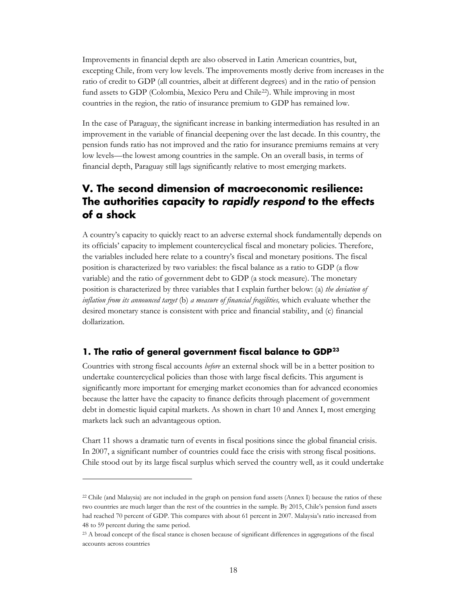Improvements in financial depth are also observed in Latin American countries, but, excepting Chile, from very low levels. The improvements mostly derive from increases in the ratio of credit to GDP (all countries, albeit at different degrees) and in the ratio of pension fund assets to GDP (Colombia, Mexico Peru and Chile<sup>22</sup>). While improving in most countries in the region, the ratio of insurance premium to GDP has remained low.

In the case of Paraguay, the significant increase in banking intermediation has resulted in an improvement in the variable of financial deepening over the last decade. In this country, the pension funds ratio has not improved and the ratio for insurance premiums remains at very low levels—the lowest among countries in the sample. On an overall basis, in terms of financial depth, Paraguay still lags significantly relative to most emerging markets.

## <span id="page-20-0"></span>**V. The second dimension of macroeconomic resilience: The authorities capacity to** *rapidly respond* **to the effects of a shock**

A country's capacity to quickly react to an adverse external shock fundamentally depends on its officials' capacity to implement countercyclical fiscal and monetary policies. Therefore, the variables included here relate to a country's fiscal and monetary positions. The fiscal position is characterized by two variables: the fiscal balance as a ratio to GDP (a flow variable) and the ratio of government debt to GDP (a stock measure). The monetary position is characterized by three variables that I explain further below: (a) *the deviation of inflation from its announced target* (b) *a measure of financial fragilities,* which evaluate whether the desired monetary stance is consistent with price and financial stability, and (c) financial dollarization.

#### <span id="page-20-1"></span>**1. The ratio of general government fiscal balance to GDP[23](#page-20-3)**

 $\overline{a}$ 

Countries with strong fiscal accounts *before* an external shock will be in a better position to undertake countercyclical policies than those with large fiscal deficits. This argument is significantly more important for emerging market economies than for advanced economies because the latter have the capacity to finance deficits through placement of government debt in domestic liquid capital markets. As shown in chart 10 and Annex I, most emerging markets lack such an advantageous option.

Chart 11 shows a dramatic turn of events in fiscal positions since the global financial crisis. In 2007, a significant number of countries could face the crisis with strong fiscal positions. Chile stood out by its large fiscal surplus which served the country well, as it could undertake

<span id="page-20-2"></span> $22$  Chile (and Malaysia) are not included in the graph on pension fund assets (Annex I) because the ratios of these two countries are much larger than the rest of the countries in the sample. By 2015, Chile's pension fund assets had reached 70 percent of GDP. This compares with about 61 percent in 2007. Malaysia's ratio increased from 48 to 59 percent during the same period.

<span id="page-20-3"></span><sup>23</sup> A broad concept of the fiscal stance is chosen because of significant differences in aggregations of the fiscal accounts across countries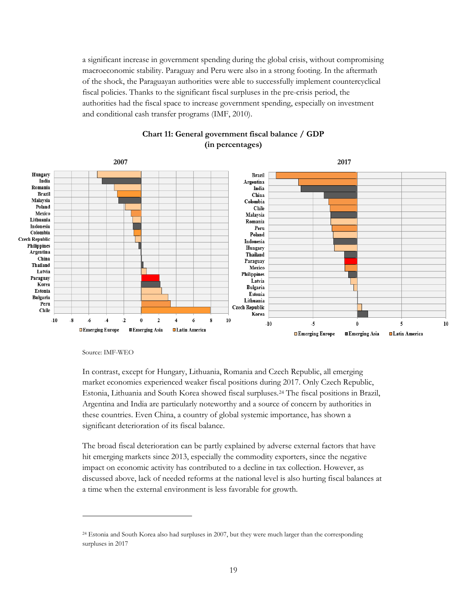a significant increase in government spending during the global crisis, without compromising macroeconomic stability. Paraguay and Peru were also in a strong footing. In the aftermath of the shock, the Paraguayan authorities were able to successfully implement countercyclical fiscal policies. Thanks to the significant fiscal surpluses in the pre-crisis period, the authorities had the fiscal space to increase government spending, especially on investment and conditional cash transfer programs (IMF, 2010).



#### **Chart 11: General government fiscal balance / GDP (in percentages)**

Source: IMF-WEO

 $\overline{a}$ 

In contrast, except for Hungary, Lithuania, Romania and Czech Republic, all emerging market economies experienced weaker fiscal positions during 2017. Only Czech Republic, Estonia, Lithuania and South Korea showed fiscal surpluses.[24](#page-21-0) The fiscal positions in Brazil, Argentina and India are particularly noteworthy and a source of concern by authorities in these countries. Even China, a country of global systemic importance, has shown a significant deterioration of its fiscal balance.

The broad fiscal deterioration can be partly explained by adverse external factors that have hit emerging markets since 2013, especially the commodity exporters, since the negative impact on economic activity has contributed to a decline in tax collection. However, as discussed above, lack of needed reforms at the national level is also hurting fiscal balances at a time when the external environment is less favorable for growth.

<span id="page-21-0"></span><sup>24</sup> Estonia and South Korea also had surpluses in 2007, but they were much larger than the corresponding surpluses in 2017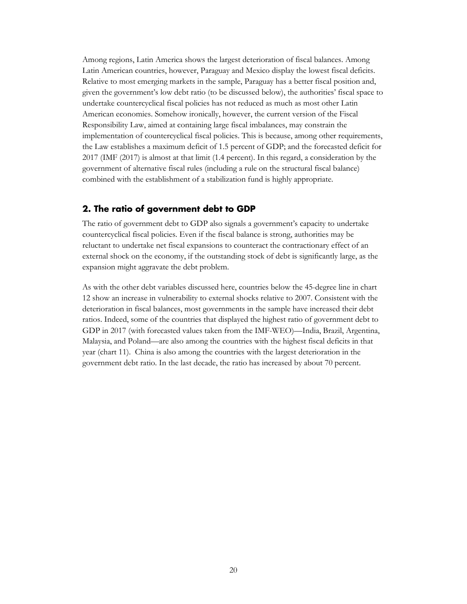Among regions, Latin America shows the largest deterioration of fiscal balances. Among Latin American countries, however, Paraguay and Mexico display the lowest fiscal deficits. Relative to most emerging markets in the sample, Paraguay has a better fiscal position and, given the government's low debt ratio (to be discussed below), the authorities' fiscal space to undertake countercyclical fiscal policies has not reduced as much as most other Latin American economies. Somehow ironically, however, the current version of the Fiscal Responsibility Law, aimed at containing large fiscal imbalances, may constrain the implementation of countercyclical fiscal policies. This is because, among other requirements, the Law establishes a maximum deficit of 1.5 percent of GDP; and the forecasted deficit for 2017 (IMF (2017) is almost at that limit (1.4 percent). In this regard, a consideration by the government of alternative fiscal rules (including a rule on the structural fiscal balance) combined with the establishment of a stabilization fund is highly appropriate.

#### <span id="page-22-0"></span>**2. The ratio of government debt to GDP**

The ratio of government debt to GDP also signals a government's capacity to undertake countercyclical fiscal policies. Even if the fiscal balance is strong, authorities may be reluctant to undertake net fiscal expansions to counteract the contractionary effect of an external shock on the economy, if the outstanding stock of debt is significantly large, as the expansion might aggravate the debt problem.

As with the other debt variables discussed here, countries below the 45-degree line in chart 12 show an increase in vulnerability to external shocks relative to 2007. Consistent with the deterioration in fiscal balances, most governments in the sample have increased their debt ratios. Indeed, some of the countries that displayed the highest ratio of government debt to GDP in 2017 (with forecasted values taken from the IMF-WEO)—India, Brazil, Argentina, Malaysia, and Poland—are also among the countries with the highest fiscal deficits in that year (chart 11). China is also among the countries with the largest deterioration in the government debt ratio. In the last decade, the ratio has increased by about 70 percent.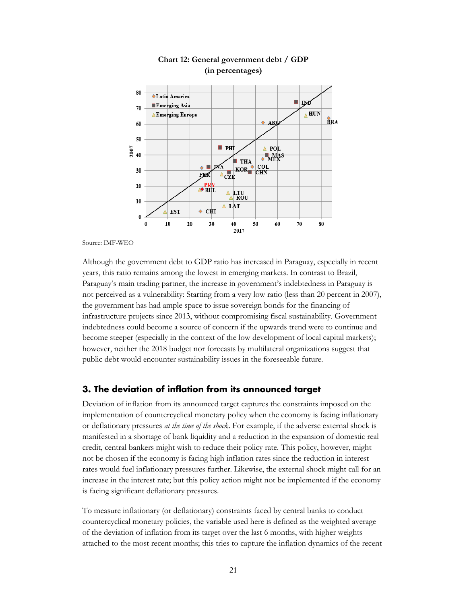



Source: IMF-WEO

Although the government debt to GDP ratio has increased in Paraguay, especially in recent years, this ratio remains among the lowest in emerging markets. In contrast to Brazil, Paraguay's main trading partner, the increase in government's indebtedness in Paraguay is not perceived as a vulnerability: Starting from a very low ratio (less than 20 percent in 2007), the government has had ample space to issue sovereign bonds for the financing of infrastructure projects since 2013, without compromising fiscal sustainability. Government indebtedness could become a source of concern if the upwards trend were to continue and become steeper (especially in the context of the low development of local capital markets); however, neither the 2018 budget nor forecasts by multilateral organizations suggest that public debt would encounter sustainability issues in the foreseeable future.

#### <span id="page-23-0"></span>**3. The deviation of inflation from its announced target**

Deviation of inflation from its announced target captures the constraints imposed on the implementation of countercyclical monetary policy when the economy is facing inflationary or deflationary pressures *at the time of the shock*. For example, if the adverse external shock is manifested in a shortage of bank liquidity and a reduction in the expansion of domestic real credit, central bankers might wish to reduce their policy rate. This policy, however, might not be chosen if the economy is facing high inflation rates since the reduction in interest rates would fuel inflationary pressures further. Likewise, the external shock might call for an increase in the interest rate; but this policy action might not be implemented if the economy is facing significant deflationary pressures.

To measure inflationary (or deflationary) constraints faced by central banks to conduct countercyclical monetary policies, the variable used here is defined as the weighted average of the deviation of inflation from its target over the last 6 months, with higher weights attached to the most recent months; this tries to capture the inflation dynamics of the recent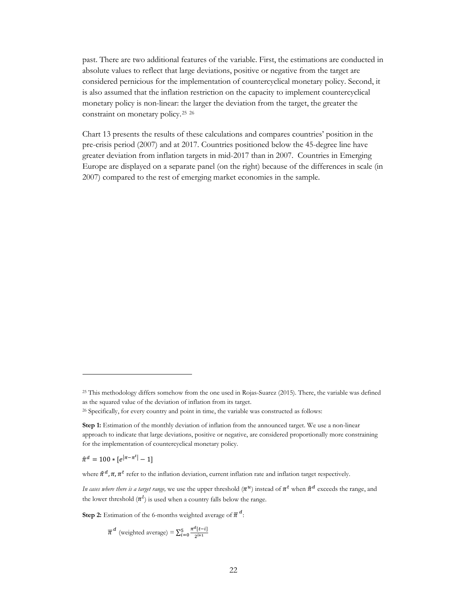past. There are two additional features of the variable. First, the estimations are conducted in absolute values to reflect that large deviations, positive or negative from the target are considered pernicious for the implementation of countercyclical monetary policy. Second, it is also assumed that the inflation restriction on the capacity to implement countercyclical monetary policy is non-linear: the larger the deviation from the target, the greater the constraint on monetary policy.[25](#page-24-0) [26](#page-24-1)

Chart 13 presents the results of these calculations and compares countries' position in the pre-crisis period (2007) and at 2017. Countries positioned below the 45-degree line have greater deviation from inflation targets in mid-2017 than in 2007. Countries in Emerging Europe are displayed on a separate panel (on the right) because of the differences in scale (in 2007) compared to the rest of emerging market economies in the sample.

 $\hat{\pi}^d = 100 * [e^{|\pi - \pi^t|} - 1]$ 

<span id="page-24-0"></span><sup>25</sup> This methodology differs somehow from the one used in Rojas-Suarez (2015). There, the variable was defined as the squared value of the deviation of inflation from its target.

<span id="page-24-1"></span><sup>&</sup>lt;sup>26</sup> Specifically, for every country and point in time, the variable was constructed as follows:

**Step 1:** Estimation of the monthly deviation of inflation from the announced target. We use a non-linear approach to indicate that large deviations, positive or negative, are considered proportionally more constraining for the implementation of countercyclical monetary policy.

where  $\hat{\pi}^d$ ,  $\pi$ ,  $\pi^t$  refer to the inflation deviation, current inflation rate and inflation target respectively.

*In cases where there is a target range*, we use the upper threshold  $(\pi^u)$  instead of  $\pi^t$  when  $\hat{\pi}^d$  exceeds the range, and the lower threshold  $(\pi^l)$  is used when a country falls below the range.

**Step 2:** Estimation of the 6-months weighted average of  $\overline{\pi}^d$ :

 $\overline{\pi}^d$  (weighted average) =  $\sum_{i=0}^{5} \frac{\pi^d [t-i]}{2^{i+1}}$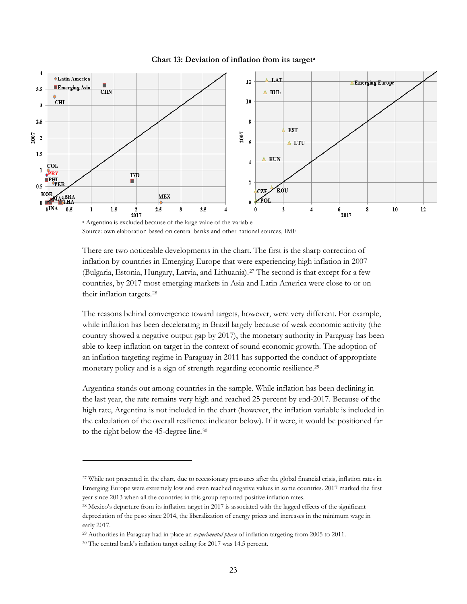

**Chart 13: Deviation of inflation from its targeta**

There are two noticeable developments in the chart. The first is the sharp correction of inflation by countries in Emerging Europe that were experiencing high inflation in 2007 (Bulgaria, Estonia, Hungary, Latvia, and Lithuania).[27](#page-25-0) The second is that except for a few countries, by 2017 most emerging markets in Asia and Latin America were close to or on their inflation targets.[28](#page-25-1)

The reasons behind convergence toward targets, however, were very different. For example, while inflation has been decelerating in Brazil largely because of weak economic activity (the country showed a negative output gap by 2017), the monetary authority in Paraguay has been able to keep inflation on target in the context of sound economic growth. The adoption of an inflation targeting regime in Paraguay in 2011 has supported the conduct of appropriate monetary policy and is a sign of strength regarding economic resilience.<sup>[29](#page-25-2)</sup>

Argentina stands out among countries in the sample. While inflation has been declining in the last year, the rate remains very high and reached 25 percent by end-2017. Because of the high rate, Argentina is not included in the chart (however, the inflation variable is included in the calculation of the overall resilience indicator below). If it were, it would be positioned far to the right below the 45-degree line.[30](#page-25-3)

<sup>a</sup> Argentina is excluded because of the large value of the variable Source: own elaboration based on central banks and other national sources, IMF

<span id="page-25-0"></span><sup>&</sup>lt;sup>27</sup> While not presented in the chart, due to recessionary pressures after the global financial crisis, inflation rates in Emerging Europe were extremely low and even reached negative values in some countries. 2017 marked the first year since 2013 when all the countries in this group reported positive inflation rates.

<span id="page-25-1"></span><sup>28</sup> Mexico's departure from its inflation target in 2017 is associated with the lagged effects of the significant depreciation of the peso since 2014, the liberalization of energy prices and increases in the minimum wage in early 2017.

<span id="page-25-2"></span><sup>29</sup> Authorities in Paraguay had in place an *experimental phase* of inflation targeting from 2005 to 2011.

<span id="page-25-3"></span><sup>30</sup> The central bank's inflation target ceiling for 2017 was 14.5 percent.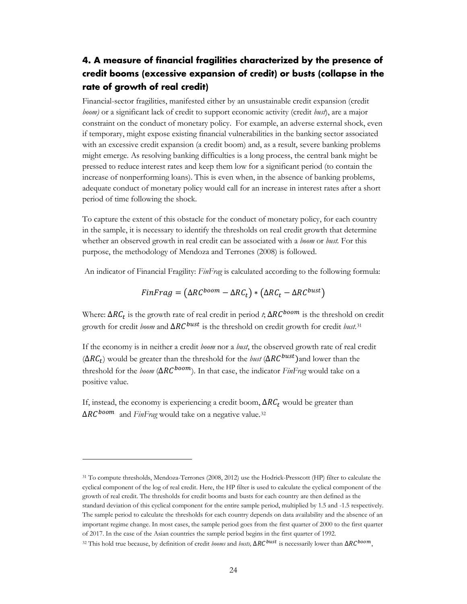## <span id="page-26-0"></span>**4. A measure of financial fragilities characterized by the presence of credit booms (excessive expansion of credit) or busts (collapse in the rate of growth of real credit)**

Financial-sector fragilities, manifested either by an unsustainable credit expansion (credit *boom)* or a significant lack of credit to support economic activity (credit *bust*), are a major constraint on the conduct of monetary policy. For example, an adverse external shock, even if temporary, might expose existing financial vulnerabilities in the banking sector associated with an excessive credit expansion (a credit boom) and, as a result, severe banking problems might emerge. As resolving banking difficulties is a long process, the central bank might be pressed to reduce interest rates and keep them low for a significant period (to contain the increase of nonperforming loans). This is even when, in the absence of banking problems, adequate conduct of monetary policy would call for an increase in interest rates after a short period of time following the shock.

To capture the extent of this obstacle for the conduct of monetary policy, for each country in the sample, it is necessary to identify the thresholds on real credit growth that determine whether an observed growth in real credit can be associated with a *boom* or *bust.* For this purpose, the methodology of Mendoza and Terrones (2008) is followed.

An indicator of Financial Fragility: *FinFrag* is calculated according to the following formula:

$$
FinFrag = (\Delta RC^{boom} - \Delta RC_t) * (\Delta RC_t - \Delta RC^{burst})
$$

Where:  $\Delta RC_t$  is the growth rate of real credit in period *t*;  $\Delta RC^{boom}$  is the threshold on credit growth for credit *boom* and ΔRC<sup>bust</sup> is the threshold on credit growth for credit *bust*.<sup>[31](#page-26-1)</sup>

If the economy is in neither a credit *boom* nor a *bust*, the observed growth rate of real credit  $(\Delta RC_t)$  would be greater than the threshold for the *bust* ( $\Delta RC^{burst}$ )and lower than the threshold for the *boom* ( $\Delta RC^{boom}$ ). In that case, the indicator *FinFrag* would take on a positive value.

If, instead, the economy is experiencing a credit boom,  $\Delta RC_t$  would be greater than  $\Delta RC^{boom}$  and *FinFrag* would take on a negative value.<sup>[32](#page-26-2)</sup>

 $\ddot{\phantom{a}}$ 

<span id="page-26-1"></span><sup>31</sup> To compute thresholds, Mendoza-Terrones (2008, 2012) use the Hodrick-Presscott (HP) filter to calculate the cyclical component of the log of real credit. Here, the HP filter is used to calculate the cyclical component of the growth of real credit. The thresholds for credit booms and busts for each country are then defined as the standard deviation of this cyclical component for the entire sample period, multiplied by 1.5 and -1.5 respectively. The sample period to calculate the thresholds for each country depends on data availability and the absence of an important regime change. In most cases, the sample period goes from the first quarter of 2000 to the first quarter of 2017. In the case of the Asian countries the sample period begins in the first quarter of 1992.

<span id="page-26-2"></span><sup>&</sup>lt;sup>32</sup> This hold true because, by definition of credit *booms* and *busts*,  $\Delta RC^{burst}$  is necessarily lower than  $\Delta RC^{bow}$ ,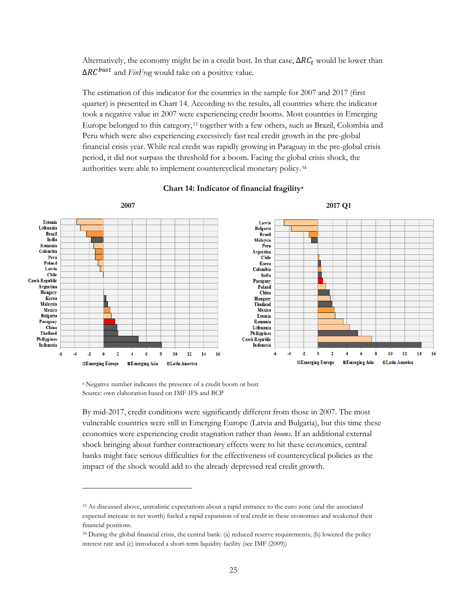Alternatively, the economy might be in a credit bust. In that case,  $\Delta RC_t$  would be lower than  $\Delta RC^{burst}$  and *FinFrag* would take on a positive value.

The estimation of this indicator for the countries in the sample for 2007 and 2017 (first quarter) is presented in Chart 14. According to the results, all countries where the indicator took a negative value in 2007 were experiencing credit booms. Most countries in Emerging Europe belonged to this category,[33](#page-27-0) together with a few others, such as Brazil, Colombia and Peru which were also experiencing excessively fast real credit growth in the pre-global financial crisis year. While real credit was rapidly growing in Paraguay in the pre-global crisis period, it did not surpass the threshold for a boom. Facing the global crisis shock, the authorities were able to implement countercyclical monetary policy.[34](#page-27-1)



#### **Chart 14: Indicator of financial fragilitya**

<sup>a</sup> Negative number indicates the presence of a credit boom or bust Source: own elaboration based on IMF-IFS and BCP

 $\overline{a}$ 

By mid-2017, credit conditions were significantly different from those in 2007. The most vulnerable countries were still in Emerging Europe (Latvia and Bulgaria), but this time these economies were experiencing credit stagnation rather than *booms.* If an additional external shock bringing about further contractionary effects were to hit these economies, central banks might face serious difficulties for the effectiveness of countercyclical policies as the impact of the shock would add to the already depressed real credit growth.

<span id="page-27-0"></span><sup>33</sup> As discussed above, unrealistic expectations about a rapid entrance to the euro zone (and the associated expected increase in net worth) fueled a rapid expansion of real credit in these economies and weakened their financial positions.

<span id="page-27-1"></span><sup>34</sup> During the global financial crisis, the central bank: (a) reduced reserve requirements; (b) lowered the policy interest rate and (c) introduced a short-term liquidity facility (see IMF (2009))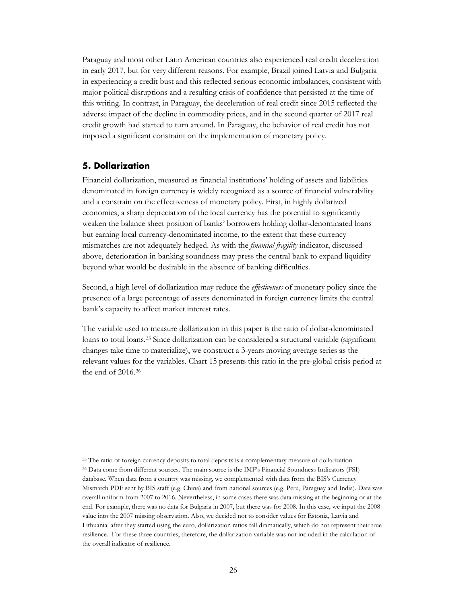Paraguay and most other Latin American countries also experienced real credit deceleration in early 2017, but for very different reasons. For example, Brazil joined Latvia and Bulgaria in experiencing a credit bust and this reflected serious economic imbalances, consistent with major political disruptions and a resulting crisis of confidence that persisted at the time of this writing. In contrast, in Paraguay, the deceleration of real credit since 2015 reflected the adverse impact of the decline in commodity prices, and in the second quarter of 2017 real credit growth had started to turn around. In Paraguay, the behavior of real credit has not imposed a significant constraint on the implementation of monetary policy.

#### <span id="page-28-0"></span>**5. Dollarization**

 $\overline{a}$ 

Financial dollarization, measured as financial institutions' holding of assets and liabilities denominated in foreign currency is widely recognized as a source of financial vulnerability and a constrain on the effectiveness of monetary policy. First, in highly dollarized economies, a sharp depreciation of the local currency has the potential to significantly weaken the balance sheet position of banks' borrowers holding dollar-denominated loans but earning local currency-denominated income, to the extent that these currency mismatches are not adequately hedged. As with the *financial fragility* indicator, discussed above, deterioration in banking soundness may press the central bank to expand liquidity beyond what would be desirable in the absence of banking difficulties.

Second, a high level of dollarization may reduce the *effectiveness* of monetary policy since the presence of a large percentage of assets denominated in foreign currency limits the central bank's capacity to affect market interest rates.

The variable used to measure dollarization in this paper is the ratio of dollar-denominated loans to total loans[.35](#page-28-1) Since dollarization can be considered a structural variable (significant changes take time to materialize), we construct a 3-years moving average series as the relevant values for the variables. Chart 15 presents this ratio in the pre-global crisis period at the end of 2016.[36](#page-28-2)

<sup>&</sup>lt;sup>35</sup> The ratio of foreign currency deposits to total deposits is a complementary measure of dollarization.

<span id="page-28-2"></span><span id="page-28-1"></span><sup>36</sup> Data come from different sources. The main source is the IMF's Financial Soundness Indicators (FSI) database. When data from a country was missing, we complemented with data from the BIS's Currency Mismatch PDF sent by BIS staff (e.g. China) and from national sources (e.g. Peru, Paraguay and India). Data was overall uniform from 2007 to 2016. Nevertheless, in some cases there was data missing at the beginning or at the end. For example, there was no data for Bulgaria in 2007, but there was for 2008. In this case, we input the 2008 value into the 2007 missing observation. Also, we decided not to consider values for Estonia, Latvia and Lithuania: after they started using the euro, dollarization ratios fall dramatically, which do not represent their true resilience. For these three countries, therefore, the dollarization variable was not included in the calculation of the overall indicator of resilience.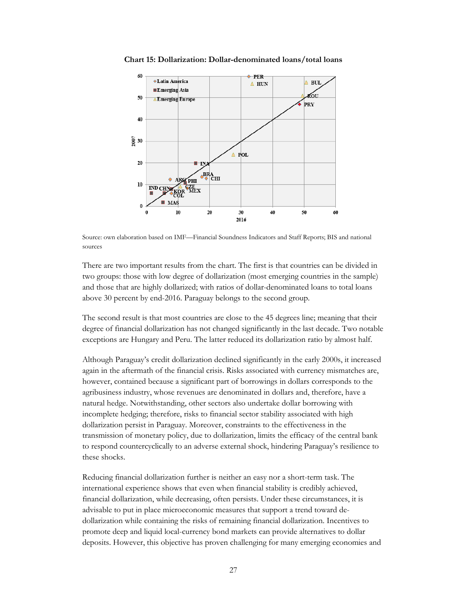

**Chart 15: Dollarization: Dollar-denominated loans/total loans**

Source: own elaboration based on IMF—Financial Soundness Indicators and Staff Reports; BIS and national sources

There are two important results from the chart. The first is that countries can be divided in two groups: those with low degree of dollarization (most emerging countries in the sample) and those that are highly dollarized; with ratios of dollar-denominated loans to total loans above 30 percent by end-2016. Paraguay belongs to the second group.

The second result is that most countries are close to the 45 degrees line; meaning that their degree of financial dollarization has not changed significantly in the last decade. Two notable exceptions are Hungary and Peru. The latter reduced its dollarization ratio by almost half.

Although Paraguay's credit dollarization declined significantly in the early 2000s, it increased again in the aftermath of the financial crisis. Risks associated with currency mismatches are, however, contained because a significant part of borrowings in dollars corresponds to the agribusiness industry, whose revenues are denominated in dollars and, therefore, have a natural hedge. Notwithstanding, other sectors also undertake dollar borrowing with incomplete hedging; therefore, risks to financial sector stability associated with high dollarization persist in Paraguay. Moreover, constraints to the effectiveness in the transmission of monetary policy, due to dollarization, limits the efficacy of the central bank to respond countercyclically to an adverse external shock, hindering Paraguay's resilience to these shocks.

Reducing financial dollarization further is neither an easy nor a short-term task. The international experience shows that even when financial stability is credibly achieved, financial dollarization, while decreasing, often persists. Under these circumstances, it is advisable to put in place microeconomic measures that support a trend toward dedollarization while containing the risks of remaining financial dollarization. Incentives to promote deep and liquid local-currency bond markets can provide alternatives to dollar deposits. However, this objective has proven challenging for many emerging economies and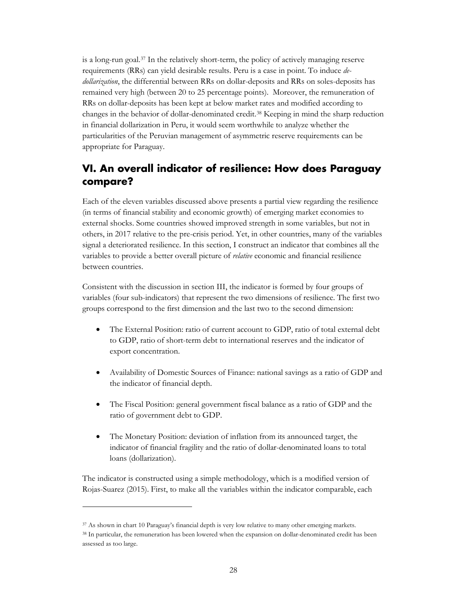is a long-run goal[.37](#page-30-1) In the relatively short-term, the policy of actively managing reserve requirements (RRs) can yield desirable results. Peru is a case in point. To induce *dedollarization*, the differential between RRs on dollar-deposits and RRs on soles-deposits has remained very high (between 20 to 25 percentage points). Moreover, the remuneration of RRs on dollar-deposits has been kept at below market rates and modified according to changes in the behavior of dollar-denominated credit.[38](#page-30-2) Keeping in mind the sharp reduction in financial dollarization in Peru, it would seem worthwhile to analyze whether the particularities of the Peruvian management of asymmetric reserve requirements can be appropriate for Paraguay.

## <span id="page-30-0"></span>**VI. An overall indicator of resilience: How does Paraguay compare?**

Each of the eleven variables discussed above presents a partial view regarding the resilience (in terms of financial stability and economic growth) of emerging market economies to external shocks. Some countries showed improved strength in some variables, but not in others, in 2017 relative to the pre-crisis period. Yet, in other countries, many of the variables signal a deteriorated resilience. In this section, I construct an indicator that combines all the variables to provide a better overall picture of *relative* economic and financial resilience between countries.

Consistent with the discussion in section III, the indicator is formed by four groups of variables (four sub-indicators) that represent the two dimensions of resilience. The first two groups correspond to the first dimension and the last two to the second dimension:

- The External Position: ratio of current account to GDP, ratio of total external debt to GDP, ratio of short-term debt to international reserves and the indicator of export concentration.
- Availability of Domestic Sources of Finance: national savings as a ratio of GDP and the indicator of financial depth.
- The Fiscal Position: general government fiscal balance as a ratio of GDP and the ratio of government debt to GDP.
- The Monetary Position: deviation of inflation from its announced target, the indicator of financial fragility and the ratio of dollar-denominated loans to total loans (dollarization).

The indicator is constructed using a simple methodology, which is a modified version of Rojas-Suarez (2015). First, to make all the variables within the indicator comparable, each

<span id="page-30-1"></span><sup>37</sup> As shown in chart 10 Paraguay's financial depth is very low relative to many other emerging markets.

<span id="page-30-2"></span><sup>38</sup> In particular, the remuneration has been lowered when the expansion on dollar-denominated credit has been assessed as too large.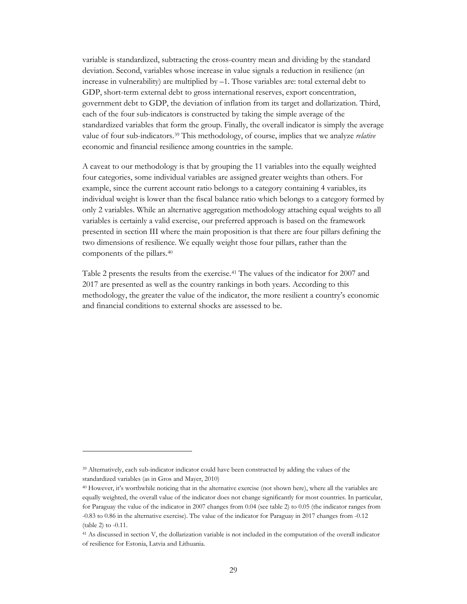variable is standardized, subtracting the cross-country mean and dividing by the standard deviation. Second, variables whose increase in value signals a reduction in resilience (an increase in vulnerability) are multiplied by –1. Those variables are: total external debt to GDP, short-term external debt to gross international reserves, export concentration, government debt to GDP, the deviation of inflation from its target and dollarization. Third, each of the four sub-indicators is constructed by taking the simple average of the standardized variables that form the group. Finally, the overall indicator is simply the average value of four sub-indicators.[39](#page-31-0) This methodology, of course, implies that we analyze *relative* economic and financial resilience among countries in the sample.

A caveat to our methodology is that by grouping the 11 variables into the equally weighted four categories, some individual variables are assigned greater weights than others. For example, since the current account ratio belongs to a category containing 4 variables, its individual weight is lower than the fiscal balance ratio which belongs to a category formed by only 2 variables. While an alternative aggregation methodology attaching equal weights to all variables is certainly a valid exercise, our preferred approach is based on the framework presented in section III where the main proposition is that there are four pillars defining the two dimensions of resilience. We equally weight those four pillars, rather than the components of the pillars.[40](#page-31-1)

Table 2 presents the results from the exercise.[41](#page-31-2) The values of the indicator for 2007 and 2017 are presented as well as the country rankings in both years. According to this methodology, the greater the value of the indicator, the more resilient a country's economic and financial conditions to external shocks are assessed to be.

<span id="page-31-0"></span><sup>39</sup> Alternatively, each sub-indicator indicator could have been constructed by adding the values of the standardized variables (as in Gros and Mayer, 2010)

<span id="page-31-1"></span><sup>40</sup> However, it's worthwhile noticing that in the alternative exercise (not shown here), where all the variables are equally weighted, the overall value of the indicator does not change significantly for most countries. In particular, for Paraguay the value of the indicator in 2007 changes from 0.04 (see table 2) to 0.05 (the indicator ranges from -0.83 to 0.86 in the alternative exercise). The value of the indicator for Paraguay in 2017 changes from -0.12 (table 2) to -0.11.

<span id="page-31-2"></span><sup>41</sup> As discussed in section V, the dollarization variable is not included in the computation of the overall indicator of resilience for Estonia, Latvia and Lithuania.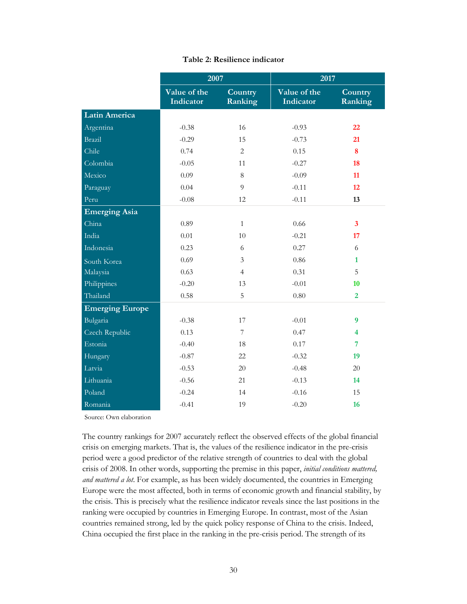|                        | 2007                      |                    | 2017                      |                         |
|------------------------|---------------------------|--------------------|---------------------------|-------------------------|
|                        | Value of the<br>Indicator | Country<br>Ranking | Value of the<br>Indicator | Country<br>Ranking      |
| <b>Latin America</b>   |                           |                    |                           |                         |
| Argentina              | $-0.38$                   | 16                 | $-0.93$                   | 22                      |
| Brazil                 | $-0.29$                   | 15                 | $-0.73$                   | 21                      |
| Chile                  | 0.74                      | $\overline{2}$     | 0.15                      | 8                       |
| Colombia               | $-0.05$                   | 11                 | $-0.27$                   | 18                      |
| Mexico                 | 0.09                      | 8                  | $-0.09$                   | 11                      |
| Paraguay               | 0.04                      | 9                  | $-0.11$                   | 12                      |
| Peru                   | $-0.08$                   | 12                 | $-0.11$                   | 13                      |
| <b>Emerging Asia</b>   |                           |                    |                           |                         |
| China                  | 0.89                      | $\mathbf{1}$       | 0.66                      | $\mathbf{3}$            |
| India                  | 0.01                      | 10                 | $-0.21$                   | 17                      |
| Indonesia              | 0.23                      | 6                  | 0.27                      | 6                       |
| South Korea            | 0.69                      | 3                  | 0.86                      | $\mathbf{1}$            |
| Malaysia               | 0.63                      | $\overline{4}$     | 0.31                      | 5                       |
| Philippines            | $-0.20$                   | 13                 | $-0.01$                   | 10                      |
| Thailand               | 0.58                      | 5                  | 0.80                      | $\overline{2}$          |
| <b>Emerging Europe</b> |                           |                    |                           |                         |
| Bulgaria               | $-0.38$                   | 17                 | $-0.01$                   | $\boldsymbol{9}$        |
| Czech Republic         | 0.13                      | $\overline{7}$     | 0.47                      | $\overline{\mathbf{4}}$ |
| Estonia                | $-0.40$                   | 18                 | 0.17                      | $\overline{7}$          |
| Hungary                | $-0.87$                   | 22                 | $-0.32$                   | 19                      |
| Latvia                 | $-0.53$                   | 20                 | $-0.48$                   | 20                      |
| Lithuania              | $-0.56$                   | 21                 | $-0.13$                   | 14                      |
| Poland                 | $-0.24$                   | 14                 | $-0.16$                   | 15                      |
| Romania                | $-0.41$                   | 19                 | $-0.20$                   | 16                      |

#### **Table 2: Resilience indicator**

Source: Own elaboration

The country rankings for 2007 accurately reflect the observed effects of the global financial crisis on emerging markets. That is, the values of the resilience indicator in the pre-crisis period were a good predictor of the relative strength of countries to deal with the global crisis of 2008. In other words, supporting the premise in this paper, *initial conditions mattered, and mattered a lot*. For example, as has been widely documented, the countries in Emerging Europe were the most affected, both in terms of economic growth and financial stability, by the crisis. This is precisely what the resilience indicator reveals since the last positions in the ranking were occupied by countries in Emerging Europe. In contrast, most of the Asian countries remained strong, led by the quick policy response of China to the crisis. Indeed, China occupied the first place in the ranking in the pre-crisis period. The strength of its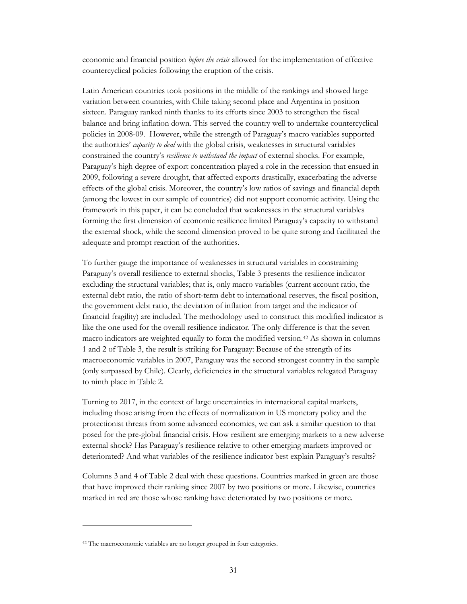economic and financial position *before the crisis* allowed for the implementation of effective countercyclical policies following the eruption of the crisis.

Latin American countries took positions in the middle of the rankings and showed large variation between countries, with Chile taking second place and Argentina in position sixteen. Paraguay ranked ninth thanks to its efforts since 2003 to strengthen the fiscal balance and bring inflation down. This served the country well to undertake countercyclical policies in 2008-09. However, while the strength of Paraguay's macro variables supported the authorities' *capacity to deal* with the global crisis, weaknesses in structural variables constrained the country's *resilience to withstand the impact* of external shocks. For example, Paraguay's high degree of export concentration played a role in the recession that ensued in 2009, following a severe drought, that affected exports drastically, exacerbating the adverse effects of the global crisis. Moreover, the country's low ratios of savings and financial depth (among the lowest in our sample of countries) did not support economic activity. Using the framework in this paper, it can be concluded that weaknesses in the structural variables forming the first dimension of economic resilience limited Paraguay's capacity to withstand the external shock, while the second dimension proved to be quite strong and facilitated the adequate and prompt reaction of the authorities.

To further gauge the importance of weaknesses in structural variables in constraining Paraguay's overall resilience to external shocks, Table 3 presents the resilience indicator excluding the structural variables; that is, only macro variables (current account ratio, the external debt ratio, the ratio of short-term debt to international reserves, the fiscal position, the government debt ratio, the deviation of inflation from target and the indicator of financial fragility) are included. The methodology used to construct this modified indicator is like the one used for the overall resilience indicator. The only difference is that the seven macro indicators are weighted equally to form the modified version.[42](#page-33-0) As shown in columns 1 and 2 of Table 3, the result is striking for Paraguay: Because of the strength of its macroeconomic variables in 2007, Paraguay was the second strongest country in the sample (only surpassed by Chile). Clearly, deficiencies in the structural variables relegated Paraguay to ninth place in Table 2.

Turning to 2017, in the context of large uncertainties in international capital markets, including those arising from the effects of normalization in US monetary policy and the protectionist threats from some advanced economies, we can ask a similar question to that posed for the pre-global financial crisis. How resilient are emerging markets to a new adverse external shock? Has Paraguay's resilience relative to other emerging markets improved or deteriorated? And what variables of the resilience indicator best explain Paraguay's results?

Columns 3 and 4 of Table 2 deal with these questions. Countries marked in green are those that have improved their ranking since 2007 by two positions or more. Likewise, countries marked in red are those whose ranking have deteriorated by two positions or more.

 $\ddot{\phantom{a}}$ 

<span id="page-33-0"></span><sup>42</sup> The macroeconomic variables are no longer grouped in four categories.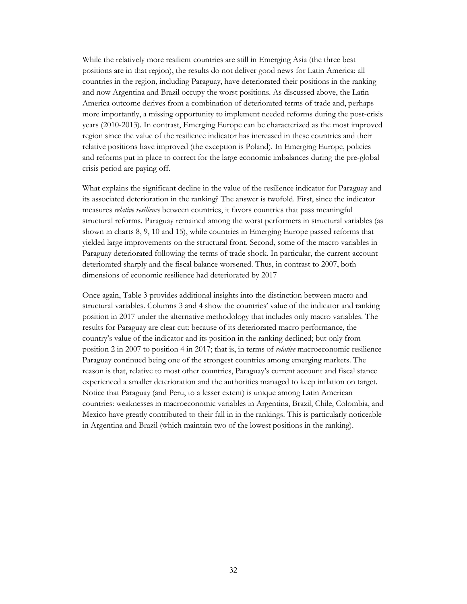While the relatively more resilient countries are still in Emerging Asia (the three best positions are in that region), the results do not deliver good news for Latin America: all countries in the region, including Paraguay, have deteriorated their positions in the ranking and now Argentina and Brazil occupy the worst positions. As discussed above, the Latin America outcome derives from a combination of deteriorated terms of trade and, perhaps more importantly, a missing opportunity to implement needed reforms during the post-crisis years (2010-2013). In contrast, Emerging Europe can be characterized as the most improved region since the value of the resilience indicator has increased in these countries and their relative positions have improved (the exception is Poland). In Emerging Europe, policies and reforms put in place to correct for the large economic imbalances during the pre-global crisis period are paying off.

What explains the significant decline in the value of the resilience indicator for Paraguay and its associated deterioration in the ranking? The answer is twofold. First, since the indicator measures *relative resilience* between countries, it favors countries that pass meaningful structural reforms. Paraguay remained among the worst performers in structural variables (as shown in charts 8, 9, 10 and 15), while countries in Emerging Europe passed reforms that yielded large improvements on the structural front. Second, some of the macro variables in Paraguay deteriorated following the terms of trade shock. In particular, the current account deteriorated sharply and the fiscal balance worsened. Thus, in contrast to 2007, both dimensions of economic resilience had deteriorated by 2017

Once again, Table 3 provides additional insights into the distinction between macro and structural variables. Columns 3 and 4 show the countries' value of the indicator and ranking position in 2017 under the alternative methodology that includes only macro variables. The results for Paraguay are clear cut: because of its deteriorated macro performance, the country's value of the indicator and its position in the ranking declined; but only from position 2 in 2007 to position 4 in 2017; that is, in terms of *relative* macroeconomic resilience Paraguay continued being one of the strongest countries among emerging markets. The reason is that, relative to most other countries, Paraguay's current account and fiscal stance experienced a smaller deterioration and the authorities managed to keep inflation on target. Notice that Paraguay (and Peru, to a lesser extent) is unique among Latin American countries: weaknesses in macroeconomic variables in Argentina, Brazil, Chile, Colombia, and Mexico have greatly contributed to their fall in in the rankings. This is particularly noticeable in Argentina and Brazil (which maintain two of the lowest positions in the ranking).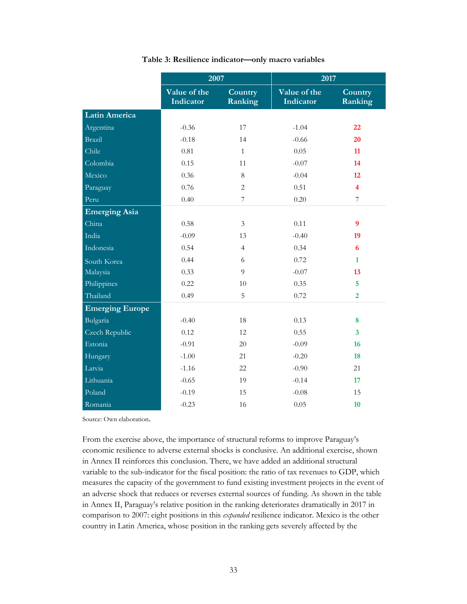|                        | 2007                             |                    | 2017                      |                         |
|------------------------|----------------------------------|--------------------|---------------------------|-------------------------|
|                        | Value of the<br><b>Indicator</b> | Country<br>Ranking | Value of the<br>Indicator | Country<br>Ranking      |
| <b>Latin America</b>   |                                  |                    |                           |                         |
| Argentina              | $-0.36$                          | 17                 | $-1.04$                   | 22                      |
| Brazil                 | $-0.18$                          | 14                 | $-0.66$                   | 20                      |
| Chile                  | 0.81                             | $\mathbf{1}$       | 0.05                      | 11                      |
| Colombia               | 0.15                             | 11                 | $-0.07$                   | 14                      |
| Mexico                 | 0.36                             | 8                  | $-0.04$                   | 12                      |
| Paraguay               | 0.76                             | $\overline{2}$     | 0.51                      | $\overline{\mathbf{4}}$ |
| Peru                   | 0.40                             | $\overline{7}$     | 0.20                      | $\overline{7}$          |
| <b>Emerging Asia</b>   |                                  |                    |                           |                         |
| China                  | 0.58                             | $\mathfrak{Z}$     | 0.11                      | 9                       |
| India                  | $-0.09$                          | 13                 | $-0.40$                   | 19                      |
| Indonesia              | 0.54                             | $\overline{4}$     | 0.34                      | 6                       |
| South Korea            | 0.44                             | 6                  | 0.72                      | $\mathbf{1}$            |
| Malaysia               | 0.33                             | 9                  | $-0.07$                   | 13                      |
| Philippines            | 0.22                             | 10                 | 0.35                      | $\overline{5}$          |
| Thailand               | 0.49                             | 5                  | 0.72                      | $\overline{2}$          |
| <b>Emerging Europe</b> |                                  |                    |                           |                         |
| Bulgaria               | $-0.40$                          | 18                 | 0.13                      | 8                       |
| Czech Republic         | 0.12                             | 12                 | 0.55                      | $\overline{\mathbf{3}}$ |
| Estonia                | $-0.91$                          | 20                 | $-0.09$                   | 16                      |
| Hungary                | $-1.00$                          | 21                 | $-0.20$                   | 18                      |
| Latvia                 | $-1.16$                          | 22                 | $-0.90$                   | 21                      |
| Lithuania              | $-0.65$                          | 19                 | $-0.14$                   | 17                      |
| Poland                 | $-0.19$                          | 15                 | $-0.08$                   | 15                      |
| Romania                | $-0.23$                          | 16                 | 0.05                      | 10                      |

#### **Table 3: Resilience indicator—only macro variables**

Source: Own elaboration.

From the exercise above, the importance of structural reforms to improve Paraguay's economic resilience to adverse external shocks is conclusive. An additional exercise, shown in Annex II reinforces this conclusion. There, we have added an additional structural variable to the sub-indicator for the fiscal position: the ratio of tax revenues to GDP, which measures the capacity of the government to fund existing investment projects in the event of an adverse shock that reduces or reverses external sources of funding. As shown in the table in Annex II, Paraguay's relative position in the ranking deteriorates dramatically in 2017 in comparison to 2007: eight positions in this *expanded* resilience indicator. Mexico is the other country in Latin America, whose position in the ranking gets severely affected by the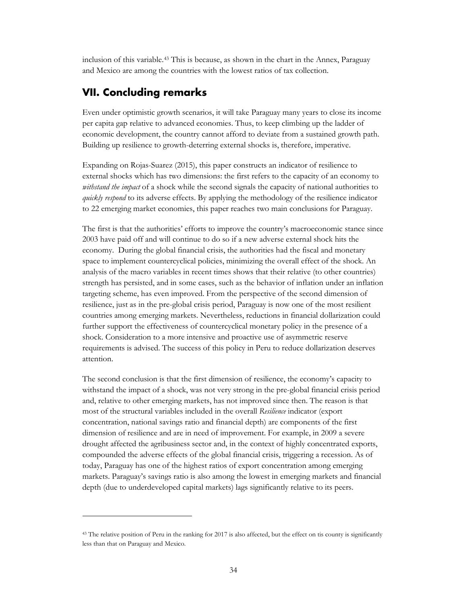inclusion of this variable.[43](#page-36-1) This is because, as shown in the chart in the Annex, Paraguay and Mexico are among the countries with the lowest ratios of tax collection.

## <span id="page-36-0"></span>**VII. Concluding remarks**

 $\overline{a}$ 

Even under optimistic growth scenarios, it will take Paraguay many years to close its income per capita gap relative to advanced economies. Thus, to keep climbing up the ladder of economic development, the country cannot afford to deviate from a sustained growth path. Building up resilience to growth-deterring external shocks is, therefore, imperative.

Expanding on Rojas-Suarez (2015), this paper constructs an indicator of resilience to external shocks which has two dimensions: the first refers to the capacity of an economy to *withstand the impact* of a shock while the second signals the capacity of national authorities to *quickly respond* to its adverse effects. By applying the methodology of the resilience indicator to 22 emerging market economies, this paper reaches two main conclusions for Paraguay.

The first is that the authorities' efforts to improve the country's macroeconomic stance since 2003 have paid off and will continue to do so if a new adverse external shock hits the economy. During the global financial crisis, the authorities had the fiscal and monetary space to implement countercyclical policies, minimizing the overall effect of the shock. An analysis of the macro variables in recent times shows that their relative (to other countries) strength has persisted, and in some cases, such as the behavior of inflation under an inflation targeting scheme, has even improved. From the perspective of the second dimension of resilience, just as in the pre-global crisis period, Paraguay is now one of the most resilient countries among emerging markets. Nevertheless, reductions in financial dollarization could further support the effectiveness of countercyclical monetary policy in the presence of a shock. Consideration to a more intensive and proactive use of asymmetric reserve requirements is advised. The success of this policy in Peru to reduce dollarization deserves attention.

The second conclusion is that the first dimension of resilience, the economy's capacity to withstand the impact of a shock, was not very strong in the pre-global financial crisis period and, relative to other emerging markets, has not improved since then. The reason is that most of the structural variables included in the overall *Resilience* indicator (export concentration, national savings ratio and financial depth) are components of the first dimension of resilience and are in need of improvement. For example, in 2009 a severe drought affected the agribusiness sector and, in the context of highly concentrated exports, compounded the adverse effects of the global financial crisis, triggering a recession. As of today, Paraguay has one of the highest ratios of export concentration among emerging markets. Paraguay's savings ratio is also among the lowest in emerging markets and financial depth (due to underdeveloped capital markets) lags significantly relative to its peers.

<span id="page-36-1"></span><sup>43</sup> The relative position of Peru in the ranking for 2017 is also affected, but the effect on tis county is significantly less than that on Paraguay and Mexico.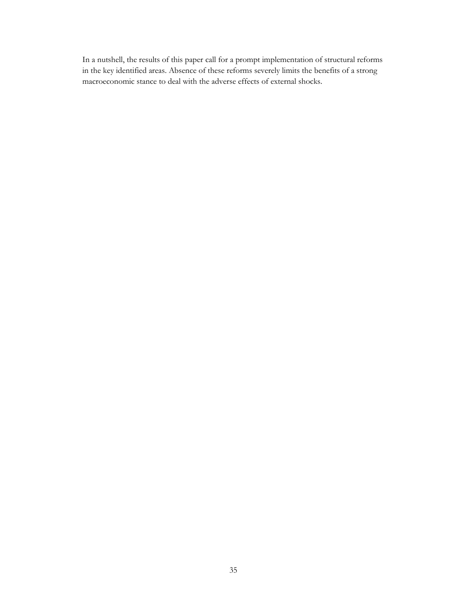In a nutshell, the results of this paper call for a prompt implementation of structural reforms in the key identified areas. Absence of these reforms severely limits the benefits of a strong macroeconomic stance to deal with the adverse effects of external shocks.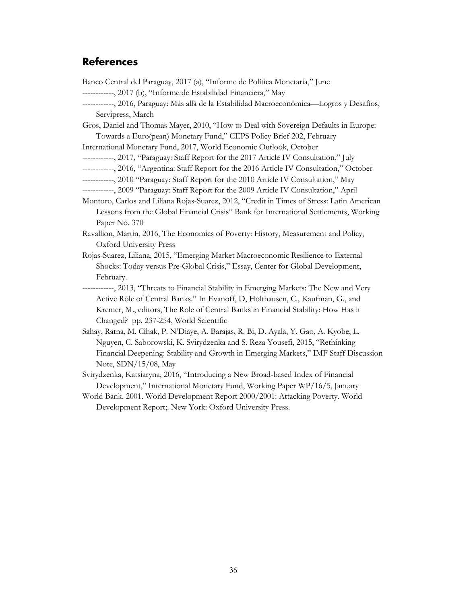## <span id="page-38-0"></span>**References**

Banco Central del Paraguay, 2017 (a), "Informe de Política Monetaria," June ------------, 2017 (b), "Informe de Estabilidad Financiera," May ------------, 2016, Paraguay: Más allá de la Estabilidad Macroeconómica—Logros y Desafíos, Servipress, March Gros, Daniel and Thomas Mayer, 2010, "How to Deal with Sovereign Defaults in Europe: Towards a Euro(pean) Monetary Fund," CEPS Policy Brief 202, February International Monetary Fund, 2017, World Economic Outlook, October ------------, 2017, "Paraguay: Staff Report for the 2017 Article IV Consultation," July ------------, 2016, "Argentina: Staff Report for the 2016 Article IV Consultation," October ------------, 2010 "Paraguay: Staff Report for the 2010 Article IV Consultation," May ------------, 2009 "Paraguay: Staff Report for the 2009 Article IV Consultation," April Montoro, Carlos and Liliana Rojas-Suarez, 2012, "Credit in Times of Stress: Latin American Lessons from the Global Financial Crisis" Bank for International Settlements, Working Paper No. 370 Ravallion, Martin, 2016, The Economics of Poverty: History, Measurement and Policy, Oxford University Press Rojas-Suarez, Liliana, 2015, "Emerging Market Macroeconomic Resilience to External Shocks: Today versus Pre-Global Crisis," Essay, Center for Global Development, February. ------------, 2013, "Threats to Financial Stability in Emerging Markets: The New and Very Active Role of Central Banks." In Evanoff, D, Holthausen, C., Kaufman, G., and Kremer, M., editors, The Role of Central Banks in Financial Stability: How Has it Changed? pp. 237-254, World Scientific Sahay, Ratna, M. Cihak, P. N'Diaye, A. Barajas, R. Bi, D. Ayala, Y. Gao, A. Kyobe, L. Nguyen, C. Saborowski, K. Svirydzenka and S. Reza Yousefi, 2015, "Rethinking Financial Deepening: Stability and Growth in Emerging Markets," IMF Staff Discussion Note, SDN/15/08, May Svirydzenka, Katsiaryna, 2016, "Introducing a New Broad-based Index of Financial Development," International Monetary Fund, Working Paper WP/16/5, January World Bank. 2001. World Development Report 2000/2001: Attacking Poverty. World Development Report;. New York: Oxford University Press.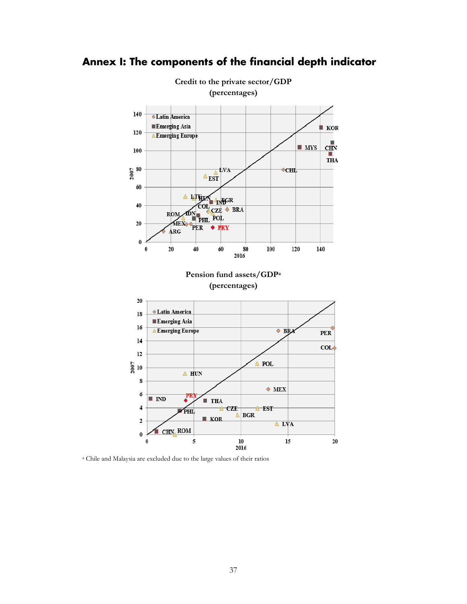

## <span id="page-39-0"></span>**Annex I: The components of the financial depth indicator**

<sup>a</sup> Chile and Malaysia are excluded due to the large values of their ratios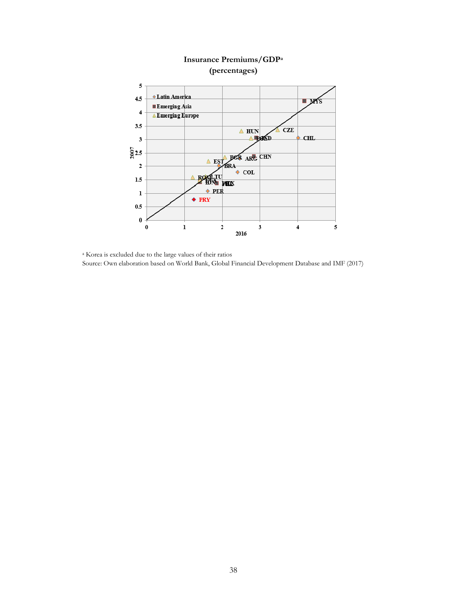

## **Insurance Premiums/GDPa (percentages)**

<sup>a</sup> Korea is excluded due to the large values of their ratios Source: Own elaboration based on World Bank, Global Financial Development Database and IMF (2017)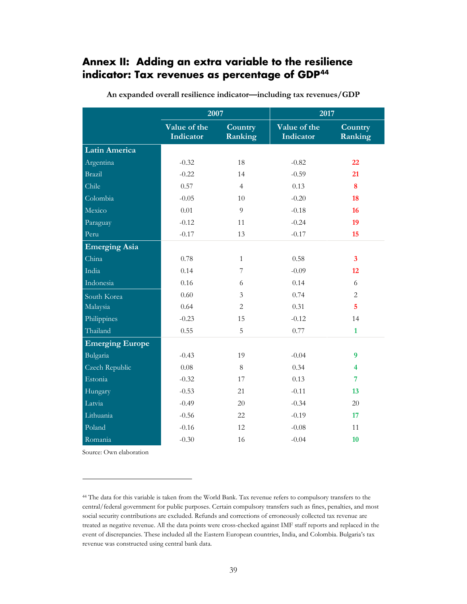## <span id="page-41-0"></span>**Annex II: Adding an extra variable to the resilience indicator: Tax revenues as percentage of GDP[44](#page-41-1)**

|                        | 2007                      |                    | 2017                      |                         |
|------------------------|---------------------------|--------------------|---------------------------|-------------------------|
|                        | Value of the<br>Indicator | Country<br>Ranking | Value of the<br>Indicator | Country<br>Ranking      |
| <b>Latin America</b>   |                           |                    |                           |                         |
| Argentina              | $-0.32$                   | 18                 | $-0.82$                   | 22                      |
| <b>Brazil</b>          | $-0.22$                   | 14                 | $-0.59$                   | 21                      |
| Chile                  | 0.57                      | $\overline{4}$     | 0.13                      | 8                       |
| Colombia               | $-0.05$                   | 10                 | $-0.20$                   | 18                      |
| Mexico                 | 0.01                      | 9                  | $-0.18$                   | 16                      |
| Paraguay               | $-0.12$                   | 11                 | $-0.24$                   | 19                      |
| Peru                   | $-0.17$                   | 13                 | $-0.17$                   | 15                      |
| <b>Emerging Asia</b>   |                           |                    |                           |                         |
| China                  | 0.78                      | $\mathbf{1}$       | 0.58                      | $\mathbf{3}$            |
| India                  | 0.14                      | 7                  | $-0.09$                   | 12                      |
| Indonesia              | 0.16                      | 6                  | 0.14                      | 6                       |
| South Korea            | 0.60                      | 3                  | 0.74                      | $\overline{2}$          |
| Malaysia               | 0.64                      | $\overline{c}$     | 0.31                      | $\overline{5}$          |
| Philippines            | $-0.23$                   | 15                 | $-0.12$                   | 14                      |
| Thailand               | 0.55                      | 5                  | 0.77                      | $\mathbf{1}$            |
| <b>Emerging Europe</b> |                           |                    |                           |                         |
| Bulgaria               | $-0.43$                   | 19                 | $-0.04$                   | $\boldsymbol{9}$        |
| Czech Republic         | 0.08                      | $8\,$              | 0.34                      | $\overline{\mathbf{4}}$ |
| Estonia                | $-0.32$                   | 17                 | 0.13                      | $\overline{7}$          |
| Hungary                | $-0.53$                   | 21                 | $-0.11$                   | 13                      |
| Latvia                 | $-0.49$                   | 20                 | $-0.34$                   | 20                      |
| Lithuania              | $-0.56$                   | 22                 | $-0.19$                   | 17                      |
| Poland                 | $-0.16$                   | 12                 | $-0.08$                   | 11                      |
| Romania                | $-0.30$                   | 16                 | $-0.04$                   | 10                      |

**An expanded overall resilience indicator—including tax revenues/GDP**

Source: Own elaboration

 $\ddot{\phantom{a}}$ 

<span id="page-41-1"></span><sup>44</sup> The data for this variable is taken from the World Bank. Tax revenue refers to compulsory transfers to the central/federal government for public purposes. Certain compulsory transfers such as fines, penalties, and most social security contributions are excluded. Refunds and corrections of erroneously collected tax revenue are treated as negative revenue. All the data points were cross-checked against IMF staff reports and replaced in the event of discrepancies. These included all the Eastern European countries, India, and Colombia. Bulgaria's tax revenue was constructed using central bank data.